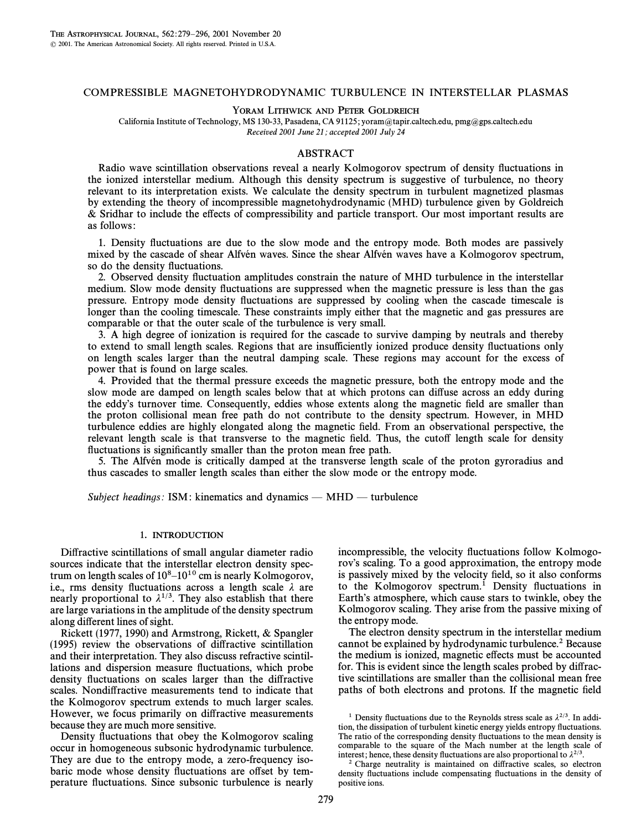# COMPRESSIBLE MAGNETOHYDRODYNAMIC TURBULENCE IN INTERSTELLAR PLASMAS

YORAM LITHWICK AND PETER GOLDREICH

California Institute of Technology, MS 130-33, Pasadena, CA 91125; yoram@tapir.caltech.edu, pmg@gps.caltech.edu Received 2001 June 21; accepted 2001 July 24

#### ABSTRACT

Radio wave scintillation observations reveal a nearly Kolmogorov spectrum of density fluctuations in the ionized interstellar medium. Although this density spectrum is suggestive of turbulence, no theory relevant to its interpretation exists. We calculate the density spectrum in turbulent magnetized plasmas by extending the theory of incompressible magnetohydrodynamic (MHD) turbulence given by Goldreich & Sridhar to include the e†ects of compressibility and particle transport. Our most important results are as follows :

1. Density fluctuations are due to the slow mode and the entropy mode. Both modes are passively mixed by the cascade of shear Alfvén waves. Since the shear Alfvén waves have a Kolmogorov spectrum, so do the density fluctuations.

2. Observed density fluctuation amplitudes constrain the nature of MHD turbulence in the interstellar medium. Slow mode density fluctuations are suppressed when the magnetic pressure is less than the gas pressure. Entropy mode density fluctuations are suppressed by cooling when the cascade timescale is longer than the cooling timescale. These constraints imply either that the magnetic and gas pressures are comparable or that the outer scale of the turbulence is very small.

3. A high degree of ionization is required for the cascade to survive damping by neutrals and thereby to extend to small length scales. Regions that are insufficiently ionized produce density fluctuations only on length scales larger than the neutral damping scale. These regions may account for the excess of power that is found on large scales.

4. Provided that the thermal pressure exceeds the magnetic pressure, both the entropy mode and the slow mode are damped on length scales below that at which protons can diffuse across an eddy during the eddy's turnover time. Consequently, eddies whose extents along the magnetic field are smaller than the proton collisional mean free path do not contribute to the density spectrum. However, in MHD turbulence eddies are highly elongated along the magnetic field. From an observational perspective, the relevant length scale is that transverse to the magnetic field. Thus, the cutoff length scale for density fluctuations is significantly smaller than the proton mean free path.

5. The Alfvén mode is critically damped at the transverse length scale of the proton gyroradius and thus cascades to smaller length scales than either the slow mode or the entropy mode.

Subject headings: ISM: kinematics and dynamics — MHD — turbulence

#### 1. INTRODUCTION

Diffractive scintillations of small angular diameter radio sources indicate that the interstellar electron density spectrum on length scales of  $10^8$ – $10^{10}$  cm is nearly Kolmogorov, i.e., rms density fluctuations across a length scale  $\lambda$  are nearly proportional to  $\lambda^{1/3}$ . They also establish that there are large variations in the amplitude of the density spectrum along different lines of sight.

Rickett (1977, 1990) and Armstrong, Rickett, & Spangler (1995) review the observations of di†ractive scintillation and their interpretation. They also discuss refractive scintillations and dispersion measure fluctuations, which probe density fluctuations on scales larger than the diffractive scales. Nondiffractive measurements tend to indicate that the Kolmogorov spectrum extends to much larger scales. However, we focus primarily on diffractive measurements because they are much more sensitive.

Density fluctuations that obey the Kolmogorov scaling occur in homogeneous subsonic hydrodynamic turbulence. They are due to the entropy mode, a zero-frequency isobaric mode whose density fluctuations are offset by temperature fluctuations. Since subsonic turbulence is nearly incompressible, the velocity fluctuations follow Kolmogorov's scaling. To a good approximation, the entropy mode is passively mixed by the velocity field, so it also conforms to the Kolmogorov spectrum.<sup>1</sup> Density fluctuations in Earth's atmosphere, which cause stars to twinkle, obey the Kolmogorov scaling. They arise from the passive mixing of the entropy mode.

The electron density spectrum in the interstellar medium cannot be explained by hydrodynamic turbulence.<sup>2</sup> Because the medium is ionized, magnetic e†ects must be accounted for. This is evident since the length scales probed by diffractive scintillations are smaller than the collisional mean free paths of both electrons and protons. If the magnetic field

<sup>&</sup>lt;sup>1</sup> Density fluctuations due to the Reynolds stress scale as  $\lambda^{2/3}$ . In addition, the dissipation of turbulent kinetic energy yields entropy fluctuations. The ratio of the corresponding density fluctuations to the mean density is comparable to the square of the Mach number at the length scale of interest; hence, these density fluctuations are also proportional to  $\lambda^{2/3}$ .

 $2$  Charge neutrality is maintained on diffractive scales, so electron density fluctuations include compensating fluctuations in the density of positive ions.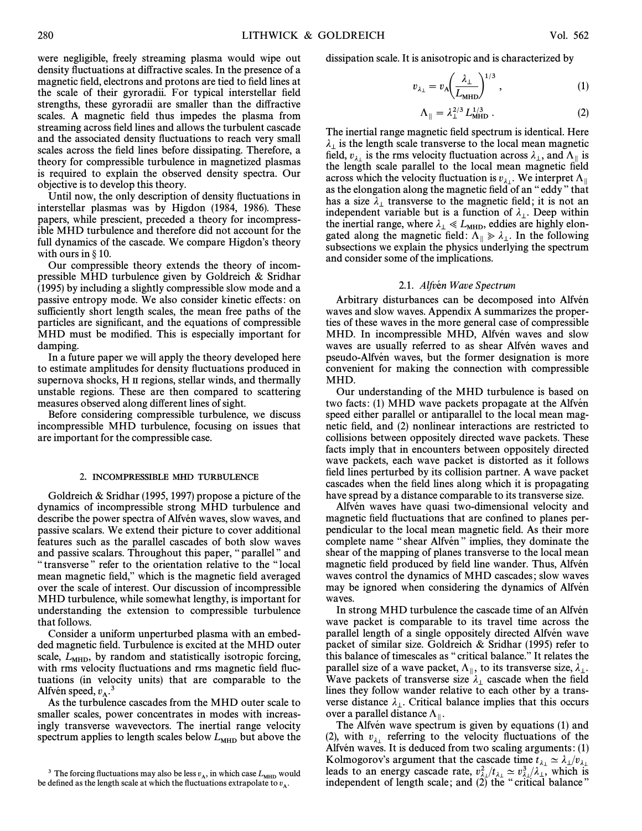were negligible, freely streaming plasma would wipe out density fluctuations at diffractive scales. In the presence of a magnetic field, electrons and protons are tied to field lines at the scale of their gyroradii. For typical interstellar field strengths, these gyroradii are smaller than the diffractive scales. A magnetic field thus impedes the plasma from streaming across field lines and allows the turbulent cascade and the associated density fluctuations to reach very small scales across the field lines before dissipating. Therefore, a theory for compressible turbulence in magnetized plasmas is required to explain the observed density spectra. Our objective is to develop this theory.

Until now, the only description of density fluctuations in interstellar plasmas was by Higdon (1984, 1986). These papers, while prescient, preceded a theory for incompressible MHD turbulence and therefore did not account for the full dynamics of the cascade. We compare Higdon's theory with ours in  $\S$  10.

Our compressible theory extends the theory of incompressible MHD turbulence given by Goldreich & Sridhar (1995) by including a slightly compressible slow mode and a passive entropy mode. We also consider kinetic effects: on sufficiently short length scales, the mean free paths of the particles are significant, and the equations of compressible MHD must be modified. This is especially important for damping.

In a future paper we will apply the theory developed here to estimate amplitudes for density fluctuations produced in supernova shocks, H II regions, stellar winds, and thermally unstable regions. These are then compared to scattering measures observed along different lines of sight.

Before considering compressible turbulence, we discuss incompressible MHD turbulence, focusing on issues that are important for the compressible case.

#### 2. INCOMPRESSIBLE MHD TURBULENCE

Goldreich & Sridhar (1995, 1997) propose a picture of the dynamics of incompressible strong MHD turbulence and describe the power spectra of Alfvén waves, slow waves, and passive scalars. We extend their picture to cover additional features such as the parallel cascades of both slow waves and passive scalars. Throughout this paper, "parallel" and " transverse" refer to the orientation relative to the "local mean magnetic field," which is the magnetic field averaged over the scale of interest. Our discussion of incompressible MHD turbulence, while somewhat lengthy, is important for understanding the extension to compressible turbulence that follows.

Consider a uniform unperturbed plasma with an embedded magnetic field. Turbulence is excited at the MHD outer scale,  $L<sub>MHD</sub>$ , by random and statistically isotropic forcing, with rms velocity fluctuations and rms magnetic field fluctuations (in velocity units) that are comparable to the Alfvén speed,  $v_A$ .<sup>3</sup>

As the turbulence cascades from the MHD outer scale to smaller scales, power concentrates in modes with increasingly transverse wavevectors. The inertial range velocity spectrum applies to length scales below  $L_{\text{MHD}}$  but above the dissipation scale. It is anisotropic and is characterized by

$$
v_{\lambda_{\perp}} = v_{\text{A}} \left( \frac{\lambda_{\perp}}{L_{\text{MHD}}} \right)^{1/3}, \tag{1}
$$

$$
\Lambda_{\parallel} = \lambda_{\perp}^{2/3} L_{\text{MHD}}^{1/3} \,. \tag{2}
$$

The inertial range magnetic field spectrum is identical. Here  $\lambda_{\perp}$  is the length scale transverse to the local mean magnetic<br>field,  $v_{\lambda_{\perp}}$  is the rms velocity fluctuation across  $\lambda_{\perp}$ , and  $\Lambda_{\parallel}$  is<br>the length scale parallel to the local mean magnetic field the length scale parallel to the local mean magnetic field across which the velocity fluctuation is  $v_{\lambda_{\perp}}$ . We interpret  $\Lambda_{\parallel}$ <br>as the elemention along the magnetic field of an "eddy" that as the elongation along the magnetic field of an "eddy" that has a size  $\lambda_1$  transverse to the magnetic field; it is not an independent variable but is a function of  $\lambda_1$ . Deep within mappendent variable out is a function of  $\lambda_1$ . Deep when<br>noted along the magnetic field:  $\lambda_1 \ll L_{\text{MHD}}$ , eddies are highly elongated along the magnetic field:  $\Lambda_{\parallel} \gg \lambda_{\perp}$ . In the following " subsections we explain the physics underlying the spectrum and consider some of the implications.

#### 2.1. Alfvén Wave Spectrum

Arbitrary disturbances can be decomposed into Alfvén waves and slow waves. Appendix A summarizes the properties of these waves in the more general case of compressible MHD. In incompressible MHD, Alfvén waves and slow waves are usually referred to as shear Alfvén waves and pseudo-Alfvén waves, but the former designation is more convenient for making the connection with compressible MHD.

Our understanding of the MHD turbulence is based on two facts: (1) MHD wave packets propagate at the Alfven speed either parallel or antiparallel to the local mean magnetic field, and (2) nonlinear interactions are restricted to collisions between oppositely directed wave packets. These facts imply that in encounters between oppositely directed wave packets, each wave packet is distorted as it follows field lines perturbed by its collision partner. A wave packet cascades when the field lines along which it is propagating have spread by a distance comparable to its transverse size.

Alfvén waves have quasi two-dimensional velocity and magnetic field fluctuations that are confined to planes perpendicular to the local mean magnetic field. As their more complete name "shear Alfvén" implies, they dominate the shear of the mapping of planes transverse to the local mean magnetic field produced by field line wander. Thus, Alfven waves control the dynamics of MHD cascades ; slow waves may be ignored when considering the dynamics of Alfvén waves.

In strong MHD turbulence the cascade time of an Alfvén wave packet is comparable to its travel time across the parallel length of a single oppositely directed Alfven wave packet of similar size. Goldreich & Sridhar (1995) refer to this balance of timescales as " critical balance." It relates the parallel size of a wave packet,  $\Lambda_{\parallel}$ , to its transverse size,  $\lambda_{\perp}$ .<br>Wave packets of transverse size, a cascade when the field Wave packets of transverse size  $\lambda_{\perp}$  cascade when the field lines they follow wander relative to each other by a transverse distance  $\lambda_{\perp}$ . Critical balance implies that this occurs over a parallel distance  $\Lambda_{\parallel}$ .<br>The Alfvén wave spectrum

The Alfvén wave spectrum is given by equations  $(1)$  and (2), with  $v_{\lambda_1}$  referring to the velocity fluctuations of the Alfvén waves. It is deduced from two scaling arguments:  $(1)$ Kolmogorov's argument that the cascade time  $t_{\lambda_1} \simeq \lambda_1/v$ reducts to an energy cascade rate,  $v_{\lambda_1}^2 / t_{\lambda_1} \simeq v_{\lambda_1}^3 / t_{\lambda_1}$ , which is<br>independent of length scale: and (2) the "critical balance" independent of length scale; and (2) the "critical balance"

<sup>&</sup>lt;sup>3</sup> The forcing fluctuations may also be less  $v_A$ , in which case  $L_{\text{MHD}}$  would <sup>3</sup> The forcing fluctuations may also be less  $v_A$ , in which case  $L_{\text{MHD}}$  wo be defined as the length scale at which the fluctuations extrapolate to  $v_A$ .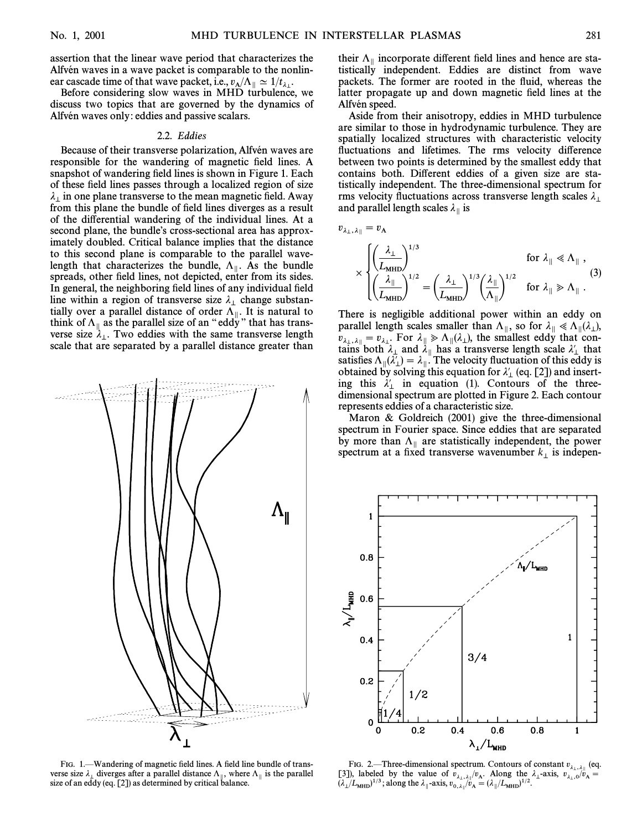assertion that the linear wave period that characterizes the Alfvén waves in a wave packet is comparable to the nonlinear cascade time of that wave packet, i.e.,  $v_A/\Lambda_{\parallel} \simeq 1/t_{\lambda_{\perp}}$ .<br>Before considering slow waves in MHD turbulance

Before considering slow waves in MHD turbulence, we<br>Before considering slow waves in MHD turbulence, we discuss two topics that are governed by the dynamics of Alfvén waves only: eddies and passive scalars.

#### 2.2. Eddies

Because of their transverse polarization, Alfvén waves are responsible for the wandering of magnetic field lines. A snapshot of wandering field lines is shown in Figure 1. Each of these field lines passes through a localized region of size  $\lambda_{\perp}$  in one plane transverse to the mean magnetic field. Away from this plane the bundle of field lines diverges as a result of the differential wandering of the individual lines. At a second plane, the bundle's cross-sectional area has approximately doubled. Critical balance implies that the distance to this second plane is comparable to the parallel wavelength that characterizes the bundle,  $\Lambda_{\parallel}$ . As the bundle spreads other field lines not depicted enter from its sides spreads, other field lines, not depicted, enter from its sides. In general, the neighboring field lines of any individual field line within a region of transverse size  $\lambda_{\perp}$  change substan-M tially over a parallel distance of order  $\Lambda_{\parallel}$ . It is natural to "Altimized" think of  $\Lambda$  as the parallel size of an "ed<sub>N</sub>" that has transthink of  $\Lambda_{\parallel}$  as the parallel size of an "eddy" that has transverse size  $\lambda_{\perp}$ . Two eddies with the same transverse length scale that are separated by a parallel distance greater than



FIG. 1.—Wandering of magnetic field lines. A field line bundle of transverse size  $\lambda_{\perp}$  diverges after a parallel distance  $\Lambda_{\parallel}$ , where  $\Lambda_{\parallel}$  is the parallel size of an eddy (eq. [21]) as determined by critical balance size of an eddy (eq. [2]) as determined by critical balance.

their  $\Lambda_{\parallel}$  incorporate different field lines and hence are statistically independent. Eddies are distinct from wave packets. The former are rooted in the fluid, whereas the latter propagate up and down magnetic field lines at the Alfvén speed.

Aside from their anisotropy, eddies in MHD turbulence are similar to those in hydrodynamic turbulence. They are spatially localized structures with characteristic velocity fluctuations and lifetimes. The rms velocity difference between two points is determined by the smallest eddy that contains both. Different eddies of a given size are statistically independent. The three-dimensional spectrum for rms velocity fluctuations across transverse length scales  $\lambda_1$ and parallel length scales  $\lambda_{\parallel}$  is

$$
v_{\lambda_\perp,\lambda_\parallel}=v_{\rm A}
$$

$$
\times \begin{cases}\n\left(\frac{\lambda_{\perp}}{L_{\text{MHD}}}\right)^{1/3} & \text{for } \lambda_{\parallel} \ll \Lambda_{\parallel} ,\\ \n\left(\frac{\lambda_{\parallel}}{L_{\text{MHD}}}\right)^{1/2} = \left(\frac{\lambda_{\perp}}{L_{\text{MHD}}}\right)^{1/3} \left(\frac{\lambda_{\parallel}}{\Lambda_{\parallel}}\right)^{1/2} & \text{for } \lambda_{\parallel} \gg \Lambda_{\parallel} .\n\end{cases} (3)
$$

There is negligible additional power within an eddy on parallel length scales smaller than  $\Lambda_{\parallel}$ , so for  $\lambda_{\parallel} \ll \Lambda_{\parallel}(\lambda_{\perp})$ ,<br> $\lambda_{\parallel} = \lambda_{\parallel}$ . For  $\lambda_{\parallel} \gg \Lambda(\lambda_{\perp})$ , the smallest eddy that con $v_{\lambda_{\perp},\lambda_{\parallel}} = v_{\lambda_{\perp}}$ . For  $\lambda_{\parallel} \gg \Lambda_{\parallel}(\lambda_{\perp})$ , the smallest eddy that con- $\sum_{k=1}^{\infty} \frac{1}{k} \int_{0}^{\infty} \frac{1}{k} \cot \frac{1}{k} \int_{0}^{\infty} \frac{1}{k} \cot \frac{1}{k} \cot \frac{1}{k} \cot \frac{1}{k} \cot \frac{1}{k}$  a transverse length scale  $\lambda'_{\perp}$  that satisfies  $\Lambda_{\parallel}(\lambda'_{\perp}) = \lambda_{\parallel}$ . The velocity fluctuation of this eddy is obtained by solving this equation for  $\lambda'$  (eq. [21]) and insertobtained by solving this equation for  $\lambda'_{\perp}$  (eq. [2]) and inserting this  $\lambda'_1$  in equation (1). Contours of the threedimensional spectrum are plotted in Figure 2. Each contour represents eddies of a characteristic size.

Maron & Goldreich (2001) give the three-dimensional spectrum in Fourier space. Since eddies that are separated by more than  $\Lambda_{\parallel}$  are statistically independent, the power spectrum at a fixed transverse wavenumber  $k_{\perp}$  is indepen-



FIG. 2.—Three-dimensional spectrum. Contours of constant  $v_{\lambda_1,\lambda_1}$  (eq. Fig. 1. labeled by the value of  $v_{\lambda_1,\lambda_1}$  (by the value of  $v_{\lambda_1,\lambda_1}$  (by the value of  $v_{\lambda_1,\lambda_1}$  (by the value of  $v_{\lambda_1,\lambda_1}$  (by the value of  $v_{\lambda_1,\lambda_1}$  (by the value of  $v_{\lambda_1,\lambda_1}$ )  $(\lambda_{\perp}/L_{\text{MHD}})^{1/3}$ ; along the  $\lambda_{\parallel}$ -axis,  $v_{0,\lambda_{\parallel}}/\bar{v}_{A} = (\lambda_{\parallel}/L_{\text{MHD}})^{1/2}$ .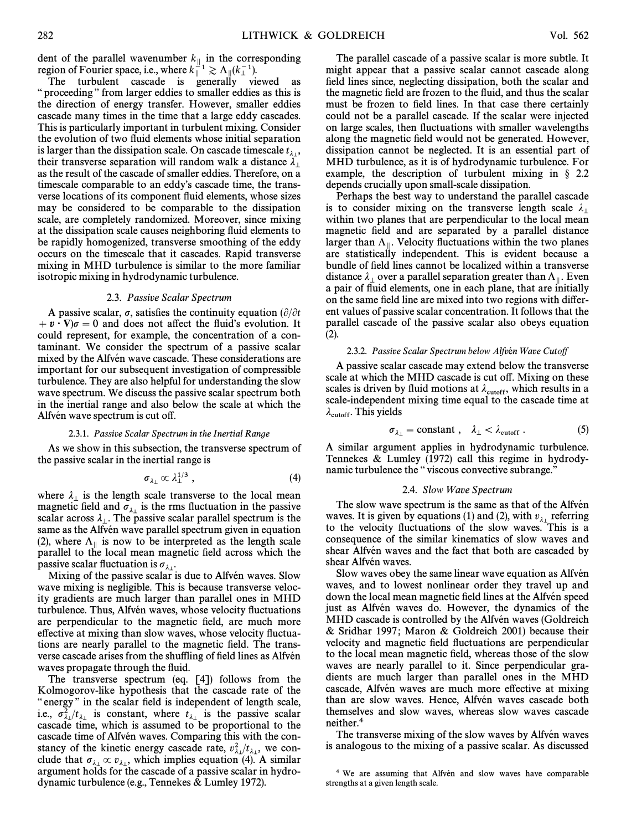dent of the parallel wavenumber  $k_{\parallel}$  in the corresponding region of Fourier space, i.e., where  $k_{\parallel}^{\perp 1} \gtrsim \Lambda_{\parallel} (k_{\perp}^{-1})$ .<br>The turbulent coscode is generally viewed as

The turbulent cascade is generally viewed as " proceeding" from larger eddies to smaller eddies as this is the direction of energy transfer. However, smaller eddies cascade many times in the time that a large eddy cascades. This is particularly important in turbulent mixing. Consider the evolution of two fluid elements whose initial separation is larger than the dissipation scale. On cascade timescale  $t_{\lambda}$ , their transverse separation will random walk a distance  $\lambda_1$  their transverse separation will random walk a distance  $\lambda_1$ as the result of the cascade of smaller eddies. Therefore, on a timescale comparable to an eddy's cascade time, the transverse locations of its component fluid elements, whose sizes may be considered to be comparable to the dissipation scale, are completely randomized. Moreover, since mixing at the dissipation scale causes neighboring Ñuid elements to be rapidly homogenized, transverse smoothing of the eddy occurs on the timescale that it cascades. Rapid transverse mixing in MHD turbulence is similar to the more familiar isotropic mixing in hydrodynamic turbulence.

#### 2.3. Passive Scalar Spectrum

A passive scalar,  $\sigma$ , satisfies the continuity equation ( $\partial/\partial t$ )  $+ \mathbf{v} \cdot \nabla \sigma = 0$  and does not affect the fluid's evolution. It could represent, for example, the concentration of a contaminant. We consider the spectrum of a passive scalar mixed by the Alfvén wave cascade. These considerations are important for our subsequent investigation of compressible turbulence. They are also helpful for understanding the slow wave spectrum. We discuss the passive scalar spectrum both in the inertial range and also below the scale at which the Alfvén wave spectrum is cut off.

#### 2.3.1. Passive Scalar Spectrum in the Inertial Range

As we show in this subsection, the transverse spectrum of the passive scalar in the inertial range is

$$
\sigma_{\lambda_{\perp}} \propto \lambda_{\perp}^{1/3} \; , \tag{4}
$$

where  $\lambda_{\perp}$  is the length scale transverse to the local mean magnetic field and  $\sigma_{\lambda_{\perp}}$  is the rms fluctuation in the passive magnetic next and  $\sigma_{\lambda_1}$  is the rms indetailed in the passive scalar across  $\lambda_1$ . The passive scalar parallel spectrum is the scalar across  $\lambda_1$ . The passive scalar parameters pectrum is the same as the Alfvén wave parallel spectrum given in equation (2), where  $\Lambda_{\parallel}$  is now to be interpreted as the length scale parallel to the local mean magnetic field across which the passive scalar fluctuation is  $\sigma_{\lambda}$ .

Mixing of the passive scalar is due to Alfvén waves. Slow wave mixing is negligible. This is because transverse velocity gradients are much larger than parallel ones in MHD turbulence. Thus, Alfvén waves, whose velocity fluctuations are perpendicular to the magnetic field, are much more effective at mixing than slow waves, whose velocity fluctuations are nearly parallel to the magnetic field. The transverse cascade arises from the shuffling of field lines as Alfvén waves propagate through the fluid.

The transverse spectrum (eq. [4]) follows from the Kolmogorov-like hypothesis that the cascade rate of the " energy" in the scalar field is independent of length scale, i.e.,  $\sigma_{\lambda}^2 / t_{\lambda_1}$  is constant, where  $t_{\lambda_1}$  is the passive scalar cascade time which is assumed to be proportional to the  $j_{\lambda_1}/j_{\lambda_1}$  is constant, where  $j_{\lambda_1}$  is the passive scalar cascade time, which is assumed to be proportional to the cascade time of Alfvén waves. Comparing this with the constancy of the kinetic energy cascade rate,  $v_{\lambda}^2/t_{\lambda}$ , we conclude that  $\sigma_{\lambda_1} \propto v_{\lambda_1}$ , which implies equation (4). A similar property are accuracy of  $\lambda$ . argument holds for the cascade of a passive scalar in hydrodynamic turbulence (e.g., Tennekes & Lumley 1972).

The parallel cascade of a passive scalar is more subtle. It might appear that a passive scalar cannot cascade along field lines since, neglecting dissipation, both the scalar and the magnetic field are frozen to the fluid, and thus the scalar must be frozen to field lines. In that case there certainly could not be a parallel cascade. If the scalar were injected on large scales, then fluctuations with smaller wavelengths along the magnetic field would not be generated. However, dissipation cannot be neglected. It is an essential part of MHD turbulence, as it is of hydrodynamic turbulence. For example, the description of turbulent mixing in  $\S$  2.2 depends crucially upon small-scale dissipation.

Perhaps the best way to understand the parallel cascade is to consider mixing on the transverse length scale  $\lambda_{\perp}$ within two planes that are perpendicular to the local mean magnetic field and are separated by a parallel distance larger than  $\Lambda_{\parallel}$ . Velocity fluctuations within the two planes are statistically independent. This is evident because a are statistically independent. This is evident because a bundle of field lines cannot be localized within a transverse distance  $\lambda_{\perp}$  over a parallel separation greater than  $\Lambda_{\parallel}$ . Even  $\rho$  pair of fluid elements, one in each plane, that are initially a pair of fluid elements, one in each plane, that are initially on the same field line are mixed into two regions with different values of passive scalar concentration. It follows that the parallel cascade of the passive scalar also obeys equation (2).

#### 2.3.2. Passive Scalar Spectrum below Alfvén Wave Cutoff

A passive scalar cascade may extend below the transverse scale at which the MHD cascade is cut off. Mixing on these scales is driven by fluid motions at  $\lambda_{\text{cutoff}}$ , which results in a scale independent mixing time equal to the cascade time at scale-independent mixing time equal to the cascade time at  $\lambda_{\text{cutoff}}$ . This yields

$$
\sigma_{\lambda_{\perp}} = \text{constant} \ , \quad \lambda_{\perp} < \lambda_{\text{cutoff}} \ . \tag{5}
$$

A similar argument applies in hydrodynamic turbulence. Tennekes & Lumley (1972) call this regime in hydrodynamic turbulence the "viscous convective subrange."

#### 2.4. Slow Wave Spectrum

The slow wave spectrum is the same as that of the Alfven waves. It is given by equations (1) and (2), with  $v_{\lambda_1}$  referring to the velocity fluctuations of the slow waves. This is a consequence of the similar kinematics of slow waves and shear Alfvén waves and the fact that both are cascaded by shear Alfvén waves.

Slow waves obey the same linear wave equation as Alfven waves, and to lowest nonlinear order they travel up and down the local mean magnetic field lines at the Alfven speed just as Alfvén waves do. However, the dynamics of the MHD cascade is controlled by the Alfvén waves (Goldreich & Sridhar 1997 ; Maron & Goldreich 2001) because their velocity and magnetic field fluctuations are perpendicular to the local mean magnetic field, whereas those of the slow waves are nearly parallel to it. Since perpendicular gradients are much larger than parallel ones in the MHD cascade, Alfvén waves are much more effective at mixing than are slow waves. Hence, Alfvén waves cascade both themselves and slow waves, whereas slow waves cascade neither.4

The transverse mixing of the slow waves by Alfvén waves is analogous to the mixing of a passive scalar. As discussed

<sup>&</sup>lt;sup>4</sup> We are assuming that Alfvén and slow waves have comparable strengths at a given length scale.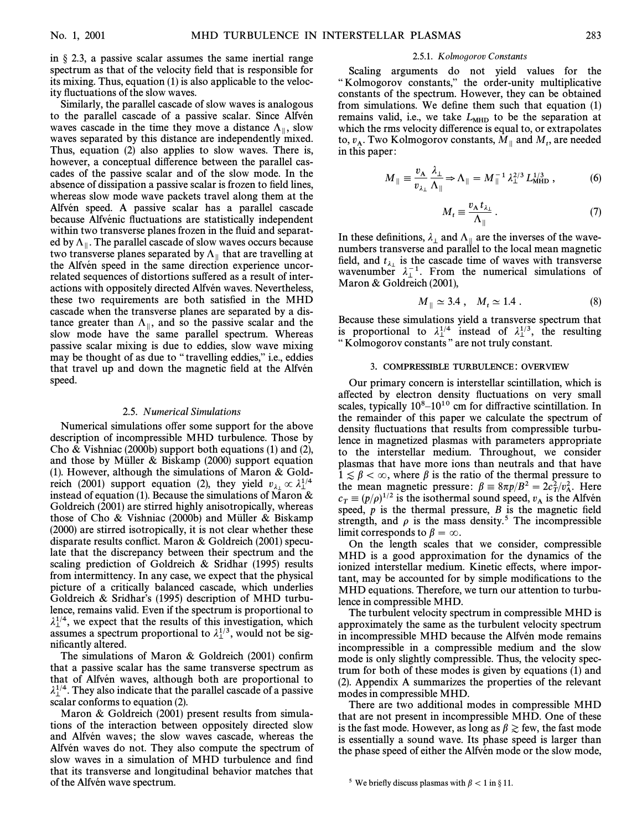in  $\S$  2.3, a passive scalar assumes the same inertial range spectrum as that of the velocity field that is responsible for its mixing. Thus, equation (1) is also applicable to the velocity fluctuations of the slow waves.

Similarly, the parallel cascade of slow waves is analogous to the parallel cascade of a passive scalar. Since Alfvén waves cascade in the time they move a distance  $\Lambda_{\parallel}$ , slow waves separated by this distance are independently mixed. waves separated by this distance are independently mixed. Thus, equation (2) also applies to slow waves. There is, however, a conceptual difference between the parallel cascades of the passive scalar and of the slow mode. In the absence of dissipation a passive scalar is frozen to field lines, whereas slow mode wave packets travel along them at the Alfvén speed. A passive scalar has a parallel cascade because Alfvénic fluctuations are statistically independent within two transverse planes frozen in the fluid and separated by  $\Lambda_{\parallel}$ . The parallel cascade of slow waves occurs because<br>two transverse planes separated by  $\Lambda_{\parallel}$  that are travelling at two transverse planes separated by  $\Lambda_{\parallel}$  that are travelling at the Alfvén speed in the same direction experience uncorrelated sequences of distortions suffered as a result of interactions with oppositely directed Alfvén waves. Nevertheless, these two requirements are both satisfied in the MHD cascade when the transverse planes are separated by a distance greater than  $\Lambda_{\parallel}$ , and so the passive scalar and the slow mode have the same parallel spectrum. Whereas slow mode have the same parallel spectrum. Whereas passive scalar mixing is due to eddies, slow wave mixing may be thought of as due to "travelling eddies," i.e., eddies that travel up and down the magnetic field at the Alfvén speed.

#### 2.5. Numerical Simulations

Numerical simulations offer some support for the above description of incompressible MHD turbulence. Those by Cho & Vishniac (2000b) support both equations (1) and (2), and those by Müller & Biskamp  $(2000)$  support equation (1). However, although the simulations of Maron  $& Gold$ reich (2001) support equation (2), they yield  $v_{\lambda} \propto \lambda_1^{1/4}$ instead of equation (1). Because the simulations of Maron & Goldreich (2001) are stirred highly anisotropically, whereas those of Cho & Vishniac (2000b) and Müller & Biskamp (2000) are stirred isotropically, it is not clear whether these disparate results conflict. Maron & Goldreich  $(2001)$  speculate that the discrepancy between their spectrum and the scaling prediction of Goldreich & Sridhar (1995) results from intermittency. In any case, we expect that the physical picture of a critically balanced cascade, which underlies Goldreich & Sridhar's (1995) description of MHD turbulence, remains valid. Even if the spectrum is proportional to  $\lambda_{\perp}^{1/4}$ , we expect that the results of this investigation, which  $\lambda_{\perp}^{1/4}$ , we would not be significantly assumes a spectrum proportional to  $\lambda_{\perp}^{1/3}$ , would not be significantly altered nificantly altered.

The simulations of Maron & Goldreich  $(2001)$  confirm that a passive scalar has the same transverse spectrum as that of Alfvén waves, although both are proportional to  $\lambda_{\perp}^{1/4}$ . They also indicate that the parallel cascade of a passive scalar conforms to equation (2) scalar conforms to equation (2).

Maron & Goldreich (2001) present results from simulations of the interaction between oppositely directed slow and Alfvén waves; the slow waves cascade, whereas the Alfvén waves do not. They also compute the spectrum of slow waves in a simulation of MHD turbulence and find that its transverse and longitudinal behavior matches that of the Alfvén wave spectrum.

#### 2.5.1. Kolmogorov Constants

Scaling arguments do not yield values for the "Kolmogorov constants," the order-unity multiplicative constants of the spectrum. However, they can be obtained from simulations. We define them such that equation  $(1)$ remains valid, i.e., we take  $L_{\text{MHD}}$  to be the separation at which the rms velocity difference is equal to, or extrapolates to,  $v_A$ . Two Kolmogorov constants,  $M_{\parallel}$  and  $M_t$ , are needed in this paper:  $\frac{1}{10}$  this paper:

$$
M_{\parallel} \equiv \frac{v_{\rm A}}{v_{\lambda_{\perp}}} \frac{\lambda_{\perp}}{\Lambda_{\parallel}} \Rightarrow \Lambda_{\parallel} = M_{\parallel}^{-1} \lambda_{\perp}^{2/3} L_{\rm MHD}^{1/3} , \qquad (6)
$$

$$
M_t \equiv \frac{v_A t_{\lambda_\perp}}{\Lambda_{\parallel}} \,. \tag{7}
$$

In these definitions,  $\lambda_{\perp}$  and  $\Lambda_{\parallel}$  are the inverses of the wave-<br>numbers transverse and parallel to the local mean magnetic numbers transverse and parallel to the local mean magnetic field, and  $t_{\lambda_{\perp}}$  is the cascade time of waves with transverse wavenumber  $\lambda_1^{-1}$ . From the numerical simulations of Maron & Goldreich  $(2001)$ ,

$$
M_{\parallel} \simeq 3.4 \; , \quad M_t \simeq 1.4 \; . \tag{8}
$$

Because these simulations yield a transverse spectrum that is proportional to  $\lambda_1^{1/4}$  instead of  $\lambda_1^{1/3}$ , the resulting "Kolmogorov constants" are not truly constant "Kolmogorov constants" are not truly constant.

## 3. COMPRESSIBLE TURBULENCE: OVERVIEW

Our primary concern is interstellar scintillation, which is affected by electron density fluctuations on very small scales, typically  $10^8$ – $10^{10}$  cm for diffractive scintillation. In the remainder of this paper we calculate the spectrum of density fluctuations that results from compressible turbulence in magnetized plasmas with parameters appropriate to the interstellar medium. Throughout, we consider plasmas that have more ions than neutrals and that have  $1 \leq \beta < \infty$ , where  $\beta$  is the ratio of the thermal pressure to the mean magnetic pressure:  $\beta = 8\pi p/B^2 = 2c_T^2/v_A^2$ . Here  $c = (p/a)^{1/2}$  is the isothermal sound speed x is the Alfvén  $c_T \equiv (p/\rho)^{1/2}$  is the isothermal sound speed,  $v_A$  is the Alfvén<br>speed, n is the thermal pressure B is the magnetic field speed,  $p$  is the thermal pressure,  $B$  is the magnetic field strength, and  $\rho$  is the mass density.<sup>5</sup> The incompressible limit corresponds to  $\beta = \infty$ .

On the length scales that we consider, compressible MHD is a good approximation for the dynamics of the ionized interstellar medium. Kinetic effects, where important, may be accounted for by simple modifications to the MHD equations. Therefore, we turn our attention to turbulence in compressible MHD.

The turbulent velocity spectrum in compressible MHD is approximately the same as the turbulent velocity spectrum in incompressible MHD because the Alfven mode remains incompressible in a compressible medium and the slow mode is only slightly compressible. Thus, the velocity spectrum for both of these modes is given by equations (1) and (2). Appendix A summarizes the properties of the relevant modes in compressible MHD.

There are two additional modes in compressible MHD that are not present in incompressible MHD. One of these is the fast mode. However, as long as  $\beta \ge$  few, the fast mode is essentially a sound wave. Its phase speed is larger than the phase speed of either the Alfvén mode or the slow mode,

<sup>&</sup>lt;sup>5</sup> We briefly discuss plasmas with  $\beta < 1$  in § 11.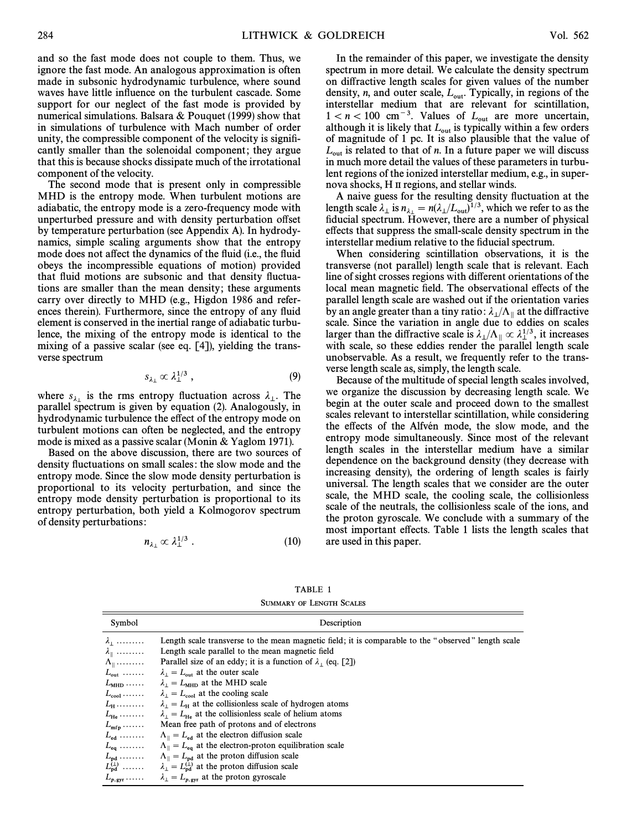and so the fast mode does not couple to them. Thus, we ignore the fast mode. An analogous approximation is often made in subsonic hydrodynamic turbulence, where sound waves have little influence on the turbulent cascade. Some support for our neglect of the fast mode is provided by numerical simulations. Balsara & Pouquet (1999) show that in simulations of turbulence with Mach number of order unity, the compressible component of the velocity is signiÐcantly smaller than the solenoidal component; they argue that this is because shocks dissipate much of the irrotational component of the velocity.

The second mode that is present only in compressible MHD is the entropy mode. When turbulent motions are adiabatic, the entropy mode is a zero-frequency mode with unperturbed pressure and with density perturbation offset by temperature perturbation (see Appendix A). In hydrodynamics, simple scaling arguments show that the entropy mode does not affect the dynamics of the fluid (i.e., the fluid obeys the incompressible equations of motion) provided that fluid motions are subsonic and that density fluctuations are smaller than the mean density; these arguments carry over directly to MHD (e.g., Higdon 1986 and references therein). Furthermore, since the entropy of any fluid element is conserved in the inertial range of adiabatic turbulence, the mixing of the entropy mode is identical to the mixing of a passive scalar (see eq. [4]), yielding the transverse spectrum

$$
s_{\lambda_{\perp}} \propto \lambda_{\perp}^{1/3} \,, \tag{9}
$$

where  $s_{\lambda_{\perp}}$  is the rms entropy fluctuation across  $\lambda_{\perp}$ . The narrallel spectrum is given by equation (2) Analogously in where  $\frac{3}{2}$  is the rms entropy method across  $\pi_1$ . The parallel spectrum is given by equation (2). Analogously, in hydrodynamic turbulence the effect of the entropy mode on turbulent motions can often be neglected, and the entropy mode is mixed as a passive scalar (Monin & Yaglom 1971).

Based on the above discussion, there are two sources of density fluctuations on small scales: the slow mode and the entropy mode. Since the slow mode density perturbation is proportional to its velocity perturbation, and since the entropy mode density perturbation is proportional to its entropy perturbation, both yield a Kolmogorov spectrum of density perturbations :

$$
n_{\lambda_{\perp}} \propto \lambda_{\perp}^{1/3} \ . \tag{10}
$$

In the remainder of this paper, we investigate the density spectrum in more detail. We calculate the density spectrum on diffractive length scales for given values of the number density, n, and outer scale,  $L_{\text{out}}$ . Typically, in regions of the interstellar medium that are relevant for scintillation,  $1 < n < 100 \, \text{cm}^{-3}$ . Values of  $L_{\text{out}}$  are more uncertain, although it is likely that  $L_{\text{out}}$  is typically within a few orders of magnitude of 1 pc. It is also plausible that the value of  $L_{\text{out}}$  is related to that of *n*. In a future paper we will discuss in much more detail the values of these parameters in turbulent regions of the ionized interstellar medium, e.g., in supernova shocks, H II regions, and stellar winds.

A naive guess for the resulting density fluctuation at the length scale  $\lambda_{\perp}$  is  $n_{\lambda_{\perp}} = n(\lambda_{\perp}/L_{\text{out}})^{1/3}$ , which we refer to as the fiducial spectrum. However, there are a number of physical fiducial spectrum. However, there are a number of physical effects that suppress the small-scale density spectrum in the interstellar medium relative to the fiducial spectrum.

When considering scintillation observations, it is the transverse (not parallel) length scale that is relevant. Each line of sight crosses regions with different orientations of the local mean magnetic field. The observational effects of the parallel length scale are washed out if the orientation varies by an angle greater than a tiny ratio:  $\lambda_{\perp}/\Lambda_{\parallel}$  at the diffractive scale. Since the variation in angle due to eddies on scales  $\frac{d}{dx}$  and all  $\frac{d}{dx}$  are the variation in angle due to eddies on scales larger than the diffractive scale is  $\lambda_{\perp}/\Lambda_{\parallel} \propto \lambda_{\perp}^{1/3}$ , it increases with scale, so these eddies render the parallel length scale unobservable. As a result, we frequently refer to the transverse length scale as, simply, the length scale.

Because of the multitude of special length scales involved, we organize the discussion by decreasing length scale. We begin at the outer scale and proceed down to the smallest scales relevant to interstellar scintillation, while considering the effects of the Alfvén mode, the slow mode, and the entropy mode simultaneously. Since most of the relevant length scales in the interstellar medium have a similar dependence on the background density (they decrease with increasing density), the ordering of length scales is fairly universal. The length scales that we consider are the outer scale, the MHD scale, the cooling scale, the collisionless scale of the neutrals, the collisionless scale of the ions, and the proton gyroscale. We conclude with a summary of the most important effects. Table 1 lists the length scales that are used in this paper.

| Symbol                    | Description                                                                                         |
|---------------------------|-----------------------------------------------------------------------------------------------------|
| $\lambda_1$               | Length scale transverse to the mean magnetic field; it is comparable to the "observed" length scale |
| $\lambda_{\parallel}$     | Length scale parallel to the mean magnetic field                                                    |
| $\Lambda_{\parallel}$     | Parallel size of an eddy; it is a function of $\lambda_1$ (eq. [2])                                 |
| $L_{\text{out}}$          | $\lambda_{\perp} = L_{\text{out}}$ at the outer scale                                               |
| $L_{\text{MHD}}$          | $\lambda_1 = L_{\text{MHD}}$ at the MHD scale                                                       |
| $L_{\rm cool}$            | $\lambda_1 = L_{cool}$ at the cooling scale                                                         |
| $L_{\rm H}$               | $\lambda_1 = L_{\rm u}$ at the collisionless scale of hydrogen atoms                                |
| $L_{\rm He}$              | $\lambda_1 = L_{\text{He}}$ at the collisionless scale of helium atoms                              |
| $L_{\text{mfp}}$          | Mean free path of protons and of electrons                                                          |
| $L_{\rm ed}$              | $\Lambda_{\parallel} = L_{\rm ed}$ at the electron diffusion scale                                  |
| $L_{eq}$                  | $\Lambda_{\parallel} = L_{eq}$ at the electron-proton equilibration scale                           |
| $L_{\rm nd}$              | $\Lambda_{\parallel} = L_{\rm nd}$ at the proton diffusion scale                                    |
| $L_{\text{pd}}^{(\perp)}$ | $\lambda_{\perp} = L_{\text{pd}}^{(\perp)}$ at the proton diffusion scale                           |
| $L_{p, \text{gyr}}$       | $\lambda_{\perp} = L_{p, \text{gyr}}$ at the proton gyroscale                                       |

TABLE 1 SUMMARY OF LENGTH SCALES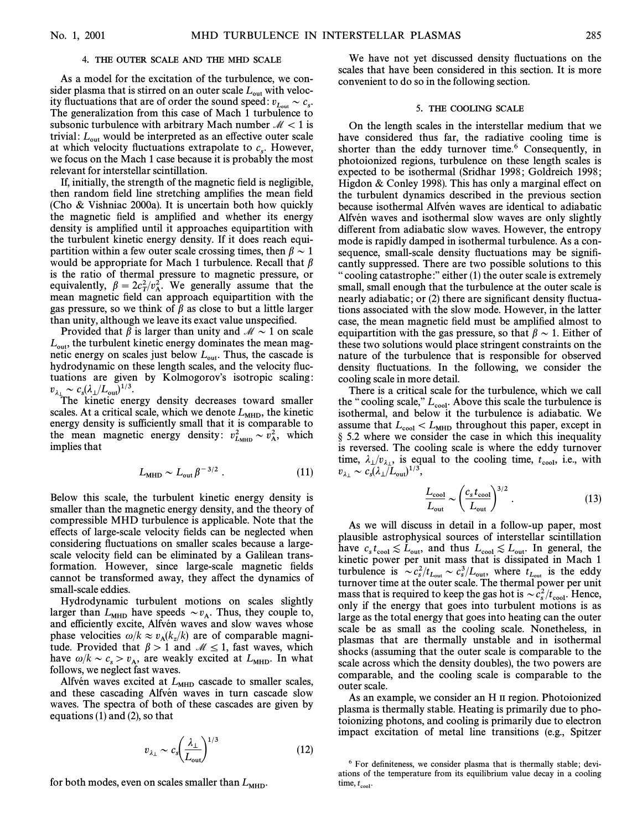#### 4. THE OUTER SCALE AND THE MHD SCALE

As a model for the excitation of the turbulence, we consider plasma that is stirred on an outer scale  $L_{\text{out}}$  with velocity fluctuations that are of order the sound speed:  $v_{L_{\text{out}}} \sim c_s$ .<br>The generalization from this case of Mach 1 turbulance to The generalization from this case of Mach 1 turbulence to subsonic turbulence with arbitrary Mach number  $\mathcal{M} < 1$  is trivial:  $L_{\text{out}}$  would be interpreted as an effective outer scale we focus on the Mach 1 case because it is probably the most at which velocity fluctuations extrapolate to  $c_s$ . However, relevant for interstellar scintillation.

If, initially, the strength of the magnetic field is negligible, then random field line stretching amplifies the mean field (Cho & Vishniac 2000a). It is uncertain both how quickly the magnetic field is amplified and whether its energy density is amplified until it approaches equipartition with the turbulent kinetic energy density. If it does reach equipartition within a few outer scale crossing times, then  $\beta \sim 1$ would be appropriate for Mach 1 turbulence. Recall that  $\beta$ is the ratio of thermal pressure to magnetic pressure, or equivalently,  $\beta = 2c_T^2/v_A^2$ . We generally assume that the  $\text{mean}$  magnetic field can approach equipartition with the gas pressure, so we think of  $\beta$  as close to but a little larger than unity, although we leave its exact value unspecified.

Provided that  $\beta$  is larger than unity and  $\mathcal{M} \sim 1$  on scale  $L_{\text{out}}$ , the turbulent kinetic energy dominates the mean magnetic energy on scales just below  $L_{\text{out}}$ . Thus, the cascade is hydrodynamic on these length scales, and the velocity fluctuations are given by Kolmogorov's isotropic scaling:  $v_{\lambda_{\perp}} \sim c_s (\lambda_{\perp}/L_{\text{out}})^{1/3}$ .<br>The kinetic eng

The kinetic energy density decreases toward smaller scales. At a critical scale, which we denote  $L_{\text{MHD}}$ , the kinetic energy density is sufficiently small that it is comparable to the mean magnetic energy density:  $v_{\text{L}_{\text{MHD}}}^2 \sim v_A^2$ , which implies that implies that

$$
L_{\rm MHD} \sim L_{\rm out} \beta^{-3/2} \ . \tag{11}
$$

Below this scale, the turbulent kinetic energy density is smaller than the magnetic energy density, and the theory of compressible MHD turbulence is applicable. Note that the effects of large-scale velocity fields can be neglected when considering fluctuations on smaller scales because a largescale velocity field can be eliminated by a Galilean transformation. However, since large-scale magnetic fields cannot be transformed away, they affect the dynamics of small-scale eddies.

Hydrodynamic turbulent motions on scales slightly larger than  $L_{\text{MHD}}$  have speeds  $\sim v_A$ . Thus, they couple to, and efficiently excite. Alfrein waves and slow waves whose anger than  $L_{\text{MHD}}$  have speeds  $L_{\text{A}}$ . Thus, they couple to, and efficiently excite, Alfvén waves and slow waves whose phase velocities  $\omega/k \approx v_A(k_z/k)$  are of comparable magnitude. Provided that  $\beta > 1$  and  $\mathcal{M} \le 1$ , fast waves, which have  $\omega/k \sim c_s > v_A$ , are weakly excited at  $L_{\text{MHD}}$ . In what follows we neglect fast wayes follows, we neglect fast waves.

Alfvén waves excited at  $L_{\text{MHD}}$  cascade to smaller scales, and these cascading Alfvén waves in turn cascade slow waves. The spectra of both of these cascades are given by equations  $(1)$  and  $(2)$ , so that

$$
v_{\lambda_{\perp}} \sim c_s \left(\frac{\lambda_{\perp}}{L_{\text{out}}}\right)^{1/3} \tag{12}
$$

for both modes, even on scales smaller than  $L_{\text{MHD}}$ .

We have not yet discussed density fluctuations on the scales that have been considered in this section. It is more convenient to do so in the following section.

### 5. THE COOLING SCALE

On the length scales in the interstellar medium that we have considered thus far, the radiative cooling time is shorter than the eddy turnover time. $6$  Consequently, in photoionized regions, turbulence on these length scales is expected to be isothermal (Sridhar 1998; Goldreich 1998; Higdon  $&$  Conley 1998). This has only a marginal effect on the turbulent dynamics described in the previous section because isothermal Alfvén waves are identical to adiabatic Alfvén waves and isothermal slow waves are only slightly different from adiabatic slow waves. However, the entropy mode is rapidly damped in isothermal turbulence. As a consequence, small-scale density fluctuations may be significantly suppressed. There are two possible solutions to this " cooling catastrophe:" either  $(1)$  the outer scale is extremely small, small enough that the turbulence at the outer scale is nearly adiabatic; or (2) there are significant density fluctuations associated with the slow mode. However, in the latter case, the mean magnetic field must be amplified almost to equipartition with the gas pressure, so that  $\beta \sim 1$ . Either of these two solutions would place stringent constraints on the nature of the turbulence that is responsible for observed density fluctuations. In the following, we consider the cooling scale in more detail.

There is a critical scale for the turbulence, which we call the "cooling scale,"  $L_{cool}$ . Above this scale the turbulence is isothermal, and below it the turbulence is adiabatic. We assume that  $L_{cool} < L_{MHD}$  throughout this paper, except in § 5.2 where we consider the case in which this inequality is reversed. The cooling scale is where the eddy turnover time,  $\lambda_{\perp}/v_{\lambda_{\perp}}$ , is equal to the cooling time,  $t_{\text{cool}}$ , i.e., with  $v_{\lambda_{\perp}} \sim c_s (\lambda_{\perp}/L_{\text{out}})^{1/3}$ ,<br> $\frac{L_{\text{cool}}}{r} \sim \left(\frac{c_s t_{\text{cool}}}{r}\right)^{3/2}$ . (13)

$$
\frac{L_{\text{cool}}}{L_{\text{out}}} \sim \left(\frac{c_s t_{\text{cool}}}{L_{\text{out}}}\right)^{3/2}.
$$
\n(13)

As we will discuss in detail in a follow-up paper, most plausible astrophysical sources of interstellar scintillation have  $c_s t_{\text{cool}} \lesssim L_{\text{out}}$ , and thus  $L_{\text{cool}} \lesssim L_{\text{out}}$ . In general, the contract contract is discussed in Mach 1 have  $c_s c_{cool} \approx D_{out}$ , and thus  $D_{cool} \approx D_{out}$ . In Seneral, the kinetic power per unit mass that is dissipated in Mach 1 turbulence is  $\sim c_s^2/t_{L_{\text{out}}} \sim c_s^3/L_{\text{out}}$ , where  $t_{L_{\text{out}}}$  is the eddy turnover time at the outer scale. The thermal power per unit turnover time at the outer scale. The thermal power per unit mass that is required to keep the gas hot is  $\sim c_s^2/t_{\text{cool}}$ . Hence,  $\Omega$ only if the energy that goes into turbulent motions is as large as the total energy that goes into heating can the outer scale be as small as the cooling scale. Nonetheless, in plasmas that are thermally unstable and in isothermal shocks (assuming that the outer scale is comparable to the scale across which the density doubles), the two powers are comparable, and the cooling scale is comparable to the outer scale.

As an example, we consider an H II region. Photoionized plasma is thermally stable. Heating is primarily due to photoionizing photons, and cooling is primarily due to electron impact excitation of metal line transitions (e.g., Spitzer

 $6$  For definiteness, we consider plasma that is thermally stable; deviations of the temperature from its equilibrium value decay in a cooling time,  $t_{\text{cool}}$ .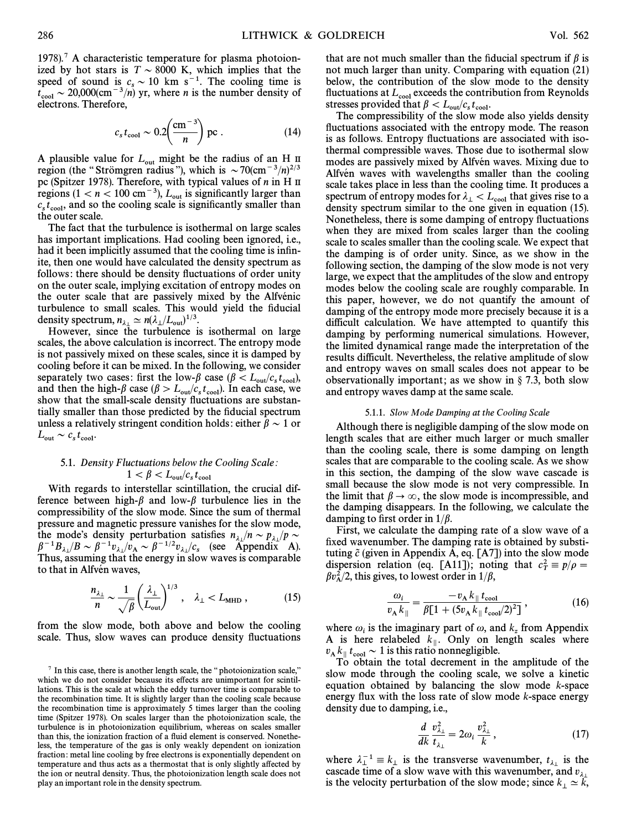1978).<sup>7</sup> A characteristic temperature for plasma photoionized by hot stars is  $T \sim 8000$  K, which implies that the speed of sound is  $c_s \sim 10$  km s<sup>-1</sup>. The cooling time is  $t_s \sim 20,000$  (cm<sup>-3</sup>/n) yr where n is the number density of  $t_{\rm cool} \sim 20,000(\text{cm}^{-3}/n)$  yr, where *n* is the number density of electrons. Therefore electrons. Therefore,

$$
c_s t_{\rm cool} \sim 0.2 \left(\frac{\rm cm^{-3}}{n}\right) \, \text{pc} \,. \tag{14}
$$

A plausible value for  $L_{\text{out}}$  might be the radius of an H II region (the "Strömgren radius"), which is  $\sim 70 \text{(cm}^{-3}/n)^{2/3}$ pc (Spitzer 1978). Therefore, with typical values of *n* in H II regions  $(1 < n < 100 \text{ cm}^{-3})$ ,  $L_{\text{out}}$  is significantly larger than regions (1 <  $n$  < 100 cm<sup>-3</sup>),  $L_{\text{out}}$  is significantly larger than  $c_s t_{\text{cool}}$ , and so the cooling scale is significantly smaller than the outer scale the outer scale.

The fact that the turbulence is isothermal on large scales has important implications. Had cooling been ignored, i.e., had it been implicitly assumed that the cooling time is infinite, then one would have calculated the density spectrum as follows: there should be density fluctuations of order unity on the outer scale, implying excitation of entropy modes on the outer scale that are passively mixed by the Alfvenic turbulence to small scales. This would yield the fiducial

density spectrum,  $n_{\lambda_1} \simeq n(\lambda_1/L_{out})^{1/3}$ .<br>However, since the turbulence is isothermal on large scales, the above calculation is incorrect. The entropy mode is not passively mixed on these scales, since it is damped by cooling before it can be mixed. In the following, we consider separately two cases: first the low- $\beta$  case  $(\beta < L_{\text{out}}/c_s t_{\text{cool}})$ , separately two cases: instant to  $\omega$  if  $\rho$  case  $(\rho > E_{\text{out}}/c_s t_{\text{cool}})$ .<br>
show that the high- $\beta$  case  $(\beta > L_{\text{out}}/c_s t_{\text{cool}})$ . In each case, we show that the small-scale density fluctuations are substantially smaller than those predicted by the fiducial spectrum unless a relatively stringent condition holds: either  $\beta \sim 1$  or  $L_{\text{out}} \sim c_s t_{\text{cool}}.$ 

# 5.1. Density Fluctuations below the Cooling Scale:  $1 < \beta < L_{\rm out}/c_s t$

With regards to interstellar scintillation, the crucial difference between high- $\beta$  and low- $\beta$  turbulence lies in the compressibility of the slow mode. Since the sum of thermal pressure and magnetic pressure vanishes for the slow mode, the mode's density perturbation satisfies  $n_{\lambda}$  / $n \sim p_{\lambda}$  / $p \sim$  $\beta^{-1}B_{\lambda}$   $\beta \sim \beta^{-1}v_{\lambda}$   $\left[\gamma \alpha \sim \beta^{-1/2}v_{\lambda}\right]$  (see Appendix A).<br>Thus, assuming that the energy in slow waves is comparable to that in Alfvén waves,

$$
\frac{n_{\lambda_{\perp}}}{n} \sim \frac{1}{\sqrt{\beta}} \left( \frac{\lambda_{\perp}}{L_{\text{out}}} \right)^{1/3}, \quad \lambda_{\perp} < L_{\text{MHD}} \,, \tag{15}
$$

from the slow mode, both above and below the cooling scale. Thus, slow waves can produce density fluctuations that are not much smaller than the fiducial spectrum if  $\beta$  is not much larger than unity. Comparing with equation (21) below, the contribution of the slow mode to the density fluctuations at  $L_{cool}$  exceeds the contribution from Reynolds  $t_{\rm cool}$ .

The compressibility of the slow mode also yields density fluctuations associated with the entropy mode. The reason is as follows. Entropy fluctuations are associated with isothermal compressible waves. Those due to isothermal slow modes are passively mixed by Alfvén waves. Mixing due to Alfvén waves with wavelengths smaller than the cooling scale takes place in less than the cooling time. It produces a spectrum of entropy modes for  $\lambda_{\perp} < L_{cool}$  that gives rise to a density spectrum similar to the one given in equation (15). Nonetheless, there is some damping of entropy fluctuations when they are mixed from scales larger than the cooling scale to scales smaller than the cooling scale. We expect that the damping is of order unity. Since, as we show in the following section, the damping of the slow mode is not very large, we expect that the amplitudes of the slow and entropy modes below the cooling scale are roughly comparable. In this paper, however, we do not quantify the amount of damping of the entropy mode more precisely because it is a difficult calculation. We have attempted to quantify this damping by performing numerical simulations. However, the limited dynamical range made the interpretation of the results difficult. Nevertheless, the relative amplitude of slow and entropy waves on small scales does not appear to be observationally important; as we show in  $\S$  7.3, both slow and entropy waves damp at the same scale.

#### 5.1.1. Slow Mode Damping at the Cooling Scale

Although there is negligible damping of the slow mode on length scales that are either much larger or much smaller than the cooling scale, there is some damping on length scales that are comparable to the cooling scale. As we show in this section, the damping of the slow wave cascade is small because the slow mode is not very compressible. In the limit that  $\beta \to \infty$ , the slow mode is incompressible, and the damping disappears. In the following, we calculate the damping to first order in  $1/\beta$ .

First, we calculate the damping rate of a slow wave of a fixed wavenumber. The damping rate is obtained by substituting  $\tilde{c}$  (given in Appendix A, eq. [A7]) into the slow mode dispersion relation (eq. [A11]); noting that  $c_T^2 \equiv p/\rho =$ <br> $Rn^2/2$  this gives to lowest order in 1/8  $\beta v_{\rm A}^2/2$ , this gives, to lowest order in  $1/\beta$ ,

$$
\frac{\omega_i}{v_A \, k_{\parallel}} = \frac{-v_A \, k_{\parallel} \, t_{\text{cool}}}{\beta [1 + (5v_A \, k_{\parallel} \, t_{\text{cool}} / 2)^2]},\tag{16}
$$

where  $\omega_i$  is the imaginary part of  $\omega$ , and  $k_z$  from Appendix A is here relabeled  $k_{\parallel}$ . Only on length scales where  $v_A k_{\parallel} t_{\text{cool}} \sim 1$  is this ratio nonnegligible.<br>To obtain the total decrement in the

To obtain the total decrement in the amplitude of the slow mode through the cooling scale, we solve a kinetic equation obtained by balancing the slow mode  $k$ -space energy flux with the loss rate of slow mode  $k$ -space energy density due to damping, i.e.,

$$
\frac{d}{dk}\frac{v_{\lambda_{\perp}}^2}{t_{\lambda_{\perp}}} = 2\omega_i \frac{v_{\lambda_{\perp}}^2}{k},\tag{17}
$$

where  $\lambda_{\perp}^{-1} = k_{\perp}$  is the transverse wavenumber,  $t_{\lambda_{\perp}}$  is the cascade time of a glow wave with this wavenumber, and x where  $x_1 = x_1$  is the transverse wavenumber,  $v_{\lambda_1}$  is a cascade time of a slow wave with this wavenumber, and v is the velocity perturbation of the slow mode; since  $k_{\perp} \simeq k$ ,

 $7$  In this case, there is another length scale, the "photoionization scale," which we do not consider because its effects are unimportant for scintillations. This is the scale at which the eddy turnover time is comparable to the recombination time. It is slightly larger than the cooling scale because the recombination time is approximately 5 times larger than the cooling time (Spitzer 1978). On scales larger than the photoionization scale, the turbulence is in photoionization equilibrium, whereas on scales smaller than this, the ionization fraction of a fluid element is conserved. Nonetheless, the temperature of the gas is only weakly dependent on ionization fraction : metal line cooling by free electrons is exponentially dependent on temperature and thus acts as a thermostat that is only slightly a†ected by the ion or neutral density. Thus, the photoionization length scale does not play an important role in the density spectrum.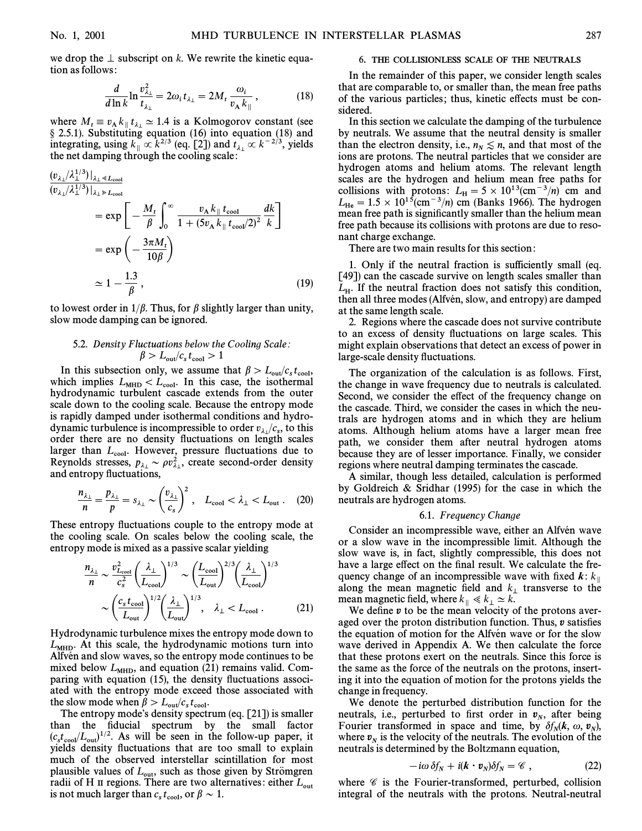we drop the  $\perp$  subscript on k. We rewrite the kinetic equation as follows :

$$
\frac{d}{d\ln k} \ln \frac{v_{\lambda_\perp}^2}{t_{\lambda_\perp}} = 2\omega_i t_{\lambda_\perp} = 2M_t \frac{\omega_i}{v_\text{A} k_{\parallel}},\tag{18}
$$

where  $M_t \equiv v_A k_{\parallel} t_{\lambda_{\perp}} \simeq 1.4$  is a Kolmogorov constant (see  $8.251$ ). Substituting equation (16) into equation (18) and where  $M_t = \alpha_A^2 w_{\parallel} t_{\lambda_1} = 1.7$  is a realistic constant (see § 2.5.1). Substituting equation (16) into equation (18) and integrating, using  $k_{\parallel} \propto k^{2/3}$  (eq. [2]) and  $t_{\lambda_{\perp}} \propto k^{-2/3}$ , yields the net damping through the cooling scale: the net damping through the cooling scale:

$$
\frac{(v_{\lambda} / \lambda_1^{1/3})|_{\lambda_1 \ll L_{\text{cool}}}}{(v_{\lambda} / \lambda_1^{1/3})|_{\lambda_1 \gg L_{\text{cool}}}}
$$
\n
$$
= \exp\left[-\frac{M_t}{\beta} \int_0^\infty \frac{v_\Lambda k_{\parallel} t_{\text{cool}}}{1 + (5v_\Lambda k_{\parallel} t_{\text{cool}}/2)^2} \frac{dk}{k}\right]
$$
\n
$$
= \exp\left(-\frac{3\pi M_t}{10\beta}\right)
$$
\n
$$
\approx 1 - \frac{1.3}{\beta}, \tag{19}
$$

to lowest order in  $1/\beta$ . Thus, for  $\beta$  slightly larger than unity, slow mode damping can be ignored.

# 5.2. Density Fluctuations below the Cooling Scale:  $\beta > L_{\rm out}/c_s t_{\rm cool} > 1$

In this subsection only, we assume that  $\beta > L_{\text{out}}/c_s t_{\text{cool}}$ ,<br>include implies  $I_{\text{out}}/C_{\text{out}}$  in this case, the isothermal which implies  $L_{\text{MHD}} < L_{\text{cool}}$ . In this case, the isothermal  $\mu > L_{\text{out}}/v_s v_{\text{cool}}$ ,<br>hydrodynamic turbulent cascade extends from the outer hydrodynamic turbulent cascade extends from the outer scale down to the cooling scale. Because the entropy mode is rapidly damped under isothermal conditions and hydrodynamic turbulence is incompressible to order  $v_{\lambda}$  / $c_s$ , to this  $\alpha$  order there are no density fluctuations on length scales larger than  $L_{cool}$ . However, pressure fluctuations due to Reynolds stresses,  $p_{\lambda} \sim \rho v_{\lambda}^2$ , create second-order density<br>and entropy fluctuations and entropy fluctuations,

$$
\frac{n_{\lambda_{\perp}}}{n} = \frac{p_{\lambda_{\perp}}}{p} = s_{\lambda_{\perp}} \sim \left(\frac{v_{\lambda_{\perp}}}{c_s}\right)^2, \quad L_{\text{cool}} < \lambda_{\perp} < L_{\text{out}}. \quad (20)
$$

These entropy fluctuations couple to the entropy mode at the cooling scale. On scales below the cooling scale, the

entropy mode is mixed as a passive scalar yielding  
\n
$$
\frac{n_{\lambda_{\perp}}}{n} \sim \frac{v_{L_{cool}}^2}{c_s^2} \left(\frac{\lambda_{\perp}}{L_{cool}}\right)^{1/3} \sim \left(\frac{L_{cool}}{L_{out}}\right)^{2/3} \left(\frac{\lambda_{\perp}}{L_{cool}}\right)^{1/3}
$$
\n
$$
\sim \left(\frac{c_s t_{cool}}{L_{out}}\right)^{1/2} \left(\frac{\lambda_{\perp}}{L_{out}}\right)^{1/3}, \quad \lambda_{\perp} < L_{cool} \,. \tag{21}
$$

Hydrodynamic turbulence mixes the entropy mode down to  $L_{\text{MHD}}$ . At this scale, the hydrodynamic motions turn into Alfvén and slow waves, so the entropy mode continues to be mixed below  $L_{\text{MHD}}$ , and equation (21) remains valid. Comparing with equation  $(15)$ , the density fluctuations associated with the entropy mode exceed those associated with the slow mode when  $\beta > L_{\text{out}}/c_s t_{\text{cool}}$ .<br>The entropy mode's density spect-

The entropy mode's density spectrum (eq.  $[21]$ ) is smaller than the fiducial spectrum by the small factor  $(c_{\text{stcool}}/L_{\text{out}})^{1/2}$ . As will be seen in the follow-up paper, it vields density fluctuations that are too small to explain yields density fluctuations that are too small to explain much of the observed interstellar scintillation for most plausible values of  $L_{\text{out}}$ , such as those given by Strömgren radii of H II regions. There are two alternatives: either  $L_{\text{out}}$  $t_{\rm cool}$ 

#### 6. THE COLLISIONLESS SCALE OF THE NEUTRALS

In the remainder of this paper, we consider length scales that are comparable to, or smaller than, the mean free paths of the various particles; thus, kinetic effects must be considered.

In this section we calculate the damping of the turbulence by neutrals. We assume that the neutral density is smaller than the electron density, i.e.,  $n_N \leq n$ , and that most of the ions are protons. The neutral particles that we consider are ions are protons. The neutral particles that we consider are hydrogen atoms and helium atoms. The relevant length scales are the hydrogen and helium mean free paths for collisions with protons:  $L_H = 5 \times 10^{13}$ (cm<sup>-3</sup>/n) cm and  $L = 1.5 \times 10^{15}$ (cm<sup>-3</sup>/n) cm (Banks 1966). The hydrogen  $L_{\text{He}} = 1.5 \times 10^{15} (\text{cm}^{-3}/n) \text{ cm}$  (Banks 1966). The hydrogen mean free path is significantly smaller than the helium mean mean free path is significantly smaller than the helium mean free path because its collisions with protons are due to resonant charge exchange.

There are two main results for this section :

1. Only if the neutral fraction is sufficiently small (eq. [49]) can the cascade survive on length scales smaller than  $L_{\rm H}$ . If the neutral fraction does not satisfy this condition, then all three modes (Alfvén slow, and entrow) are damped then all three modes (Alfvén, slow, and entropy) are damped at the same length scale.

2. Regions where the cascade does not survive contribute to an excess of density Ñuctuations on large scales. This might explain observations that detect an excess of power in large-scale density fluctuations.

The organization of the calculation is as follows. First, the change in wave frequency due to neutrals is calculated. Second, we consider the effect of the frequency change on the cascade. Third, we consider the cases in which the neutrals are hydrogen atoms and in which they are helium atoms. Although helium atoms have a larger mean free path, we consider them after neutral hydrogen atoms because they are of lesser importance. Finally, we consider regions where neutral damping terminates the cascade.

A similar, though less detailed, calculation is performed by Goldreich & Sridhar (1995) for the case in which the neutrals are hydrogen atoms.

#### 6.1. Frequency Change

Consider an incompressible wave, either an Alfvén wave or a slow wave in the incompressible limit. Although the slow wave is, in fact, slightly compressible, this does not have a large effect on the final result. We calculate the frequency change of an incompressible wave with fixed  $\boldsymbol{k}$ :  $k_{\parallel}$ along the mean magnetic field and  $k_{\perp}$  transverse to the mean magnetic field, where  $k_{\parallel} \ll k_{\perp} \simeq k$ .<br>We define n to be the mean velocity of

We define  $v$  to be the mean velocity of the protons averaged over the proton distribution function. Thus,  $v$  satisfies the equation of motion for the Alfven wave or for the slow wave derived in Appendix A. We then calculate the force that these protons exert on the neutrals. Since this force is the same as the force of the neutrals on the protons, inserting it into the equation of motion for the protons yields the change in frequency.

We denote the perturbed distribution function for the neutrals, i.e., perturbed to first order in  $v<sub>N</sub>$ , after being Fourier transformed in space and time, by  $\delta f_N(\mathbf{k}, \omega, \mathbf{v}_N)$ , where  $v_N$  is the velocity of the neutrals. The evolution of the neutrals is determined by the Boltzmann equation,

$$
-i\omega \,\delta f_N + i(\mathbf{k} \cdot \mathbf{v}_N) \delta f_N = \mathscr{C} \,, \tag{22}
$$

where  $\mathscr C$  is the Fourier-transformed, perturbed, collision integral of the neutrals with the protons. Neutral-neutral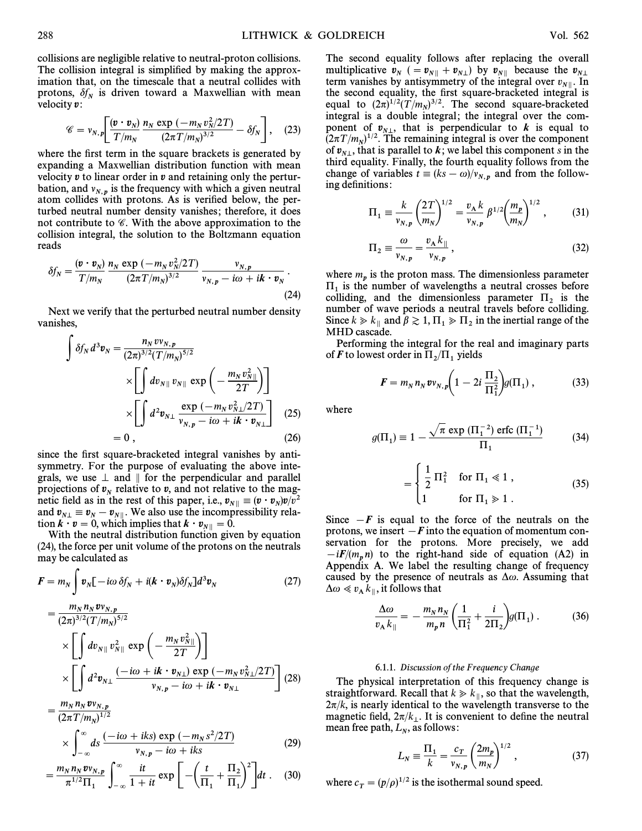collisions are negligible relative to neutral-proton collisions. The collision integral is simplified by making the approximation that, on the timescale that a neutral collides with protons,  $\delta f_N$  is driven toward a Maxwellian with mean velocity  $v$ :

$$
\mathscr{C} = v_{N,p} \left[ \frac{(\bm{v} \cdot \bm{v}_N)}{T/m_N} \frac{n_N \exp(-m_N v_N^2 / 2T)}{(2\pi T/m_N)^{3/2}} - \delta f_N \right], \quad (23)
$$

where the first term in the square brackets is generated by expanding a Maxwellian distribution function with mean velocity  $v$  to linear order in  $v$  and retaining only the perturbation, and  $v_{N,p}$  is the frequency with which a given neutral atom collides with protons. As is verified below, the perturbed neutral number density vanishes ; therefore, it does not contribute to  $\mathscr C$ . With the above approximation to the collision integral, the solution to the Boltzmann equation reads

$$
\delta f_N = \frac{(\boldsymbol{v} \cdot \boldsymbol{v}_N)}{T/m_N} \frac{n_N \exp(-m_N v_N^2/2T)}{(2\pi T/m_N)^{3/2}} \frac{v_{N,p}}{v_{N,p} - i\omega + i\boldsymbol{k} \cdot \boldsymbol{v}_N}.
$$
\n(24)

Next we verify that the perturbed neutral number density vanishes,<br> $\int_{\delta f}$ 

$$
\int \delta f_N d^3 v_N = \frac{n_N v_{N,p}}{(2\pi)^{3/2} (T/m_N)^{5/2}} \times \left[ \int dv_{N||} v_{N||} \exp\left(-\frac{m_N v_{N||}^2}{2T}\right) \right] \times \left[ \int d^2 v_{N\perp} \frac{\exp(-m_N v_{N\perp}^2/2T)}{v_{N,p} - i\omega + i\mathbf{k} \cdot v_{N\perp}} \right] \tag{25}
$$

$$
= 0 , \tag{26}
$$

since the first square-bracketed integral vanishes by antisymmetry. For the purpose of evaluating the above integrals, we use  $\perp$  and  $\parallel$  for the perpendicular and parallel projections of  $v_N$  relative to v, and not relative to the mag-<br>notic field as in the rest of this paper, i.e.,  $v_{\text{min}} = (n_{\text{min}})v/n^2$ netic field as in the rest of this paper, i.e.,  $v_{N} || \equiv (v \cdot v_N) v/v^2$ <br>and  $v_{N} = v_{N} - v_{N}$ . We also use the incompressibility relaand  $v_{N\perp} \equiv v_N - v_{N\parallel}$ . We also use the incompressibility rela-<br>tion  $k \cdot n = 0$  which implies that  $k \cdot n = 0$ tion  $\mathbf{k} \cdot \mathbf{v} = 0$ , which implies that  $\mathbf{k} \cdot \mathbf{v}_{N\parallel} = 0$ .

With the neutral distribution function given by equation (24), the force per unit volume of the protons on the neutrals

may be calculated as  
\n
$$
F = m_N \int v_N [-i\omega \delta f_N + i(k \cdot v_N) \delta f_N] d^3 v_N
$$
\n
$$
= \frac{m_N n_N v v_{N,p}}{(2\pi)^{3/2} (T/m_N)^{5/2}}
$$
\n
$$
\times \left[ \int dv_{N\parallel} v_{N\parallel}^2 \exp\left(-\frac{m_N v_{N\parallel}^2}{2T}\right) \right]
$$
\n
$$
\times \left[ \int d^2 v_{N\perp} \frac{(-i\omega + ik \cdot v_{N\perp}) \exp(-m_N v_{N\perp}^2 / 2T)}{v_{N,p} - i\omega + ik \cdot v_{N\perp}} \right] (28)
$$

$$
= \frac{m_N n_N v_{N,p}}{(2\pi T/m_N)^{1/2}}
$$
  
 
$$
\times \int_{-\infty}^{\infty} ds \frac{(-i\omega + iks) \exp(-m_N s^2/2T)}{v_{N,p} - i\omega + iks}
$$
 (29)

$$
J_{-\infty} \t v_{N,p} - i\omega + i\kappa s
$$
  
=  $\frac{m_N n_N v_{N,p}}{\pi^{1/2} \Pi_1} \int_{-\infty}^{\infty} \frac{it}{1+it} \exp \left[ -\left( \frac{t}{\Pi_1} + \frac{\Pi_2}{\Pi_1} \right)^2 \right] dt$ . (30)

The second equality follows after replacing the overall multiplicative  $v_N$  (=  $v_{N\parallel}$  +  $v_{N\perp}$ ) by  $v_{N\parallel}$  because the *v*<br>term vanishes by antisymmetry of the integral over *x* Humphed W  $\epsilon_N$  ( $\epsilon_N$ <sup>n</sup>)  $\epsilon_{N\parallel}$  or  $\epsilon_{N\parallel}$  coeduled the  $\epsilon_{N\perp}$ <br>term vanishes by antisymmetry of the integral over  $v_{N\parallel}$ . In the second equality, the first square-bracketed integral is equal to  $(2\pi)^{1/2}(T/m_N)^{3/2}$ . The second square-bracketed integral is a double integral: the integral over the comintegral is a double integral; the integral over the component of  $v_{N\perp}$ , that is perpendicular to *k* is equal to  $(2\pi T/m)^{1/2}$ . The remaining integral is over the component  $(2\pi T/m_N)^{1/2}$ . The remaining integral is over the component<br>of number is parallel to k we label this component s in the of  $v_{N\perp}$ , that is parallel to k; we label this component s in the third equality. Finally, the fourth equality follows from the third equality. Finally, the fourth equality follows from the change of variables  $t \equiv (ks - \omega)/v_{N,p}$  and from the follow-<br>ing definitions:

$$
\Pi_1 \equiv \frac{k}{v_{N,p}} \left(\frac{2T}{m_N}\right)^{1/2} = \frac{v_A k}{v_{N,p}} \beta^{1/2} \left(\frac{m_p}{m_N}\right)^{1/2},\tag{31}
$$

$$
\Pi_2 \equiv \frac{\omega}{v_{N,p}} = \frac{v_{\rm A} k_{\parallel}}{v_{N,p}},\tag{32}
$$

where  $m_p$  is the proton mass. The dimensionless parameter  $\Pi_1$  is the number of wavelengths a neutral crosses before colliding, and the dimensionless parameter  $\Pi_2$  is the number of wave periods a neutral travels bef Since  $k \gg k_{\parallel}$  and  $\beta \gtrsim 1, \Pi_1 \gg \Pi_2$  in the inertial range of the MHD cascade.

Performing the integral for the real and imaginary parts of  $\bm{F}$  to lowest order in  $\Pi_2/\Pi_1$  yields

$$
F = m_N n_N v v_{N,p} \left( 1 - 2i \, \frac{\Pi_2}{\Pi_1^2} \right) g(\Pi_1) \,, \tag{33}
$$

where

$$
g(\Pi_1) \equiv 1 - \frac{\sqrt{\pi} \exp(\Pi_1^{-2}) \operatorname{erfc}(\Pi_1^{-1})}{\Pi_1}
$$
 (34)

$$
= \begin{cases} \frac{1}{2} \Pi_1^2 & \text{for } \Pi_1 \ll 1 ,\\ 1 & \text{for } \Pi_1 \gg 1 . \end{cases}
$$
 (35)

Since  $-F$  is equal to the force of the neutrals on the protons, we insert  $\overline{F}$  into the equation of momentum conservation for the protons. More precisely, we add  $-iF/(m_p n)$  to the right-hand side of equation (A2) in<br>Appendix A. We label the resulting change of frequency Appendix A. We label the resulting change of frequency caused by the presence of neutrals as  $\Delta\omega$ . Assuming that  $\Delta \omega \ll v_{\rm A} k_{\parallel}$ , it follows that

$$
\frac{\Delta \omega}{v_{\rm A} k_{\parallel}} = -\frac{m_N n_N}{m_p n} \left( \frac{1}{\Pi_1^2} + \frac{i}{2\Pi_2} \right) g(\Pi_1) \,. \tag{36}
$$

#### 6.1.1. Discussion of the Frequency Change

The physical interpretation of this frequency change is straightforward. Recall that  $k \geq k_{\parallel}$ , so that the wavelength,  $2\pi/k$ , is nearly identical to the wavelength transverse to the magnetic field,  $2\pi/k_1$ . It is convenient to define the neutral magnetic next,  $\sum_{N} R_{\parallel}$ . It is con-<br>mean free path,  $L_N$ , as follows:

$$
L_N \equiv \frac{\Pi_1}{k} = \frac{c_T}{v_{N,p}} \left(\frac{2m_p}{m_N}\right)^{1/2},
$$
 (37)

where  $c_T = (p/\rho)^{1/2}$  is the isothermal sound speed.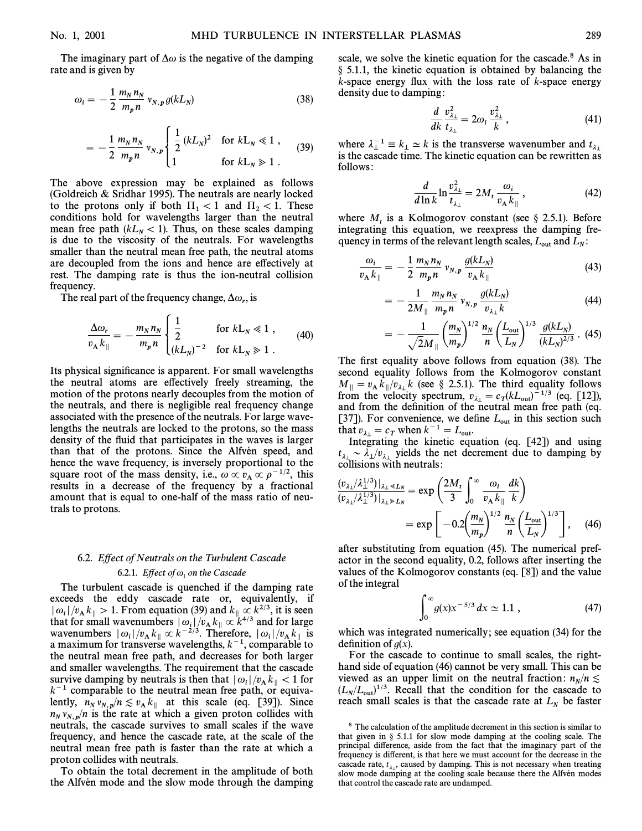The imaginary part of  $\Delta\omega$  is the negative of the damping rate and is given by

$$
\omega_i = -\frac{1}{2} \frac{m_N n_N}{m_p n} v_{N,p} g(k L_N)
$$
\n(38)

$$
= -\frac{1}{2} \frac{m_N n_N}{m_p n} v_{N,p} \begin{cases} \frac{1}{2} (k L_N)^2 & \text{for } k L_N \ll 1, \\ 1 & \text{for } k L_N \gg 1. \end{cases}
$$
 (39)

The above expression may be explained as follows (Goldreich & Sridhar 1995). The neutrals are nearly locked to the protons only if both  $\Pi_1 < 1$  and  $\Pi_2 < 1$ . These conditions hold for wavelengths larger than the neutral mean free path ( $kL<sub>N</sub> < 1$ ). Thus, on these scales damping is due to the viscosity of the neutrals. For wavelengths smaller than the neutral mean free path, the neutral atoms are decoupled from the ions and hence are e†ectively at rest. The damping rate is thus the ion-neutral collision frequency.

The real part of the frequency change,  $\Delta \omega_r$ , is

$$
\frac{\Delta\omega_r}{v_\text{A}k_{\parallel}} = -\frac{m_N n_N}{m_p n} \begin{cases} \frac{1}{2} & \text{for } k \text{L}_N \ll 1 \,, \\ \frac{(k \text{L}_N)^{-2}}{2} & \text{for } k \text{L}_N \gg 1 \,. \end{cases} \tag{40}
$$

Its physical significance is apparent. For small wavelengths the neutral atoms are effectively freely streaming, the motion of the protons nearly decouples from the motion of the neutrals, and there is negligible real frequency change associated with the presence of the neutrals. For large wavelengths the neutrals are locked to the protons, so the mass density of the fluid that participates in the waves is larger than that of the protons. Since the Alfven speed, and hence the wave frequency, is inversely proportional to the square root of the mass density, i.e.,  $\omega \propto v_A \propto \rho^{-1/2}$ , this results in a decrease of the frequency by a fractional results in a decrease of the frequency by a fractional amount that is equal to one-half of the mass ratio of neutrals to protons.

# 6.2. Effect of Neutrals on the Turbulent Cascade

6.2.1. *Effect of*  $\omega_i$  *on the Cascade*<br>The turbulent cascade is quenched if the damping rate exceeds the eddy cascade rate or, equivalently, if  $|\omega_i|/v_A k_{\parallel} > 1$ . From equation (39) and  $k_{\parallel} \propto k^{2/3}$ , it is seen it is seen it is seen in the state of  $\omega_i$ that for small wavenumbers  $|\omega_i|/v_A k_{\parallel} \propto k^{4/3}$  and for large<br>wavenumbers  $|\omega_i|/v_A k_{\parallel} \propto k^{-2/3}$  Therefore,  $|\omega_i|/v_A k_{\perp}$  is wavenumbers  $|\omega_i|/v_A k_{\parallel} \propto k^{-2/3}$ . Therefore,  $|\omega_i|/v_A k_{\parallel}$  is<br>a maximum for transverse wavelengths  $k^{-1}$  comparable to a maximum for transverse wavelengths,  $k^{-1}$ , comparable to the neutral mean free path, and decreases for both larger and smaller wavelengths. The requirement that the cascade survive damping by neutrals is then that  $|\omega_i|/v_A k_{\parallel} < 1$  for  $k^{-1}$  comparable to the neutral mean free path, or equiva $k^{-1}$  comparable to the neutral mean free path, or equivalently,  $n_N v_{N,p}/n \lesssim v_A k_{\parallel}$  at this scale (eq. [39]). Since  $n_N v_{N,p}/n$  is the rate at which a given proton collides with neutrals the cascade survives to small scales if the wave neutrals, the cascade survives to small scales if the wave frequency, and hence the cascade rate, at the scale of the neutral mean free path is faster than the rate at which a proton collides with neutrals.

To obtain the total decrement in the amplitude of both the Alfvén mode and the slow mode through the damping scale, we solve the kinetic equation for the cascade.<sup>8</sup> As in  $\S$  5.1.1, the kinetic equation is obtained by balancing the  $k$ -space energy flux with the loss rate of  $k$ -space energy density due to damping :

$$
\frac{d}{dk}\frac{v_{\lambda_{\perp}}^2}{t_{\lambda_{\perp}}} = 2\omega_i \frac{v_{\lambda_{\perp}}^2}{k},\tag{41}
$$

where  $\lambda_{\perp}^{-1} \equiv k_{\perp} \simeq k$  is the transverse wavenumber and where  $\lambda_1^{-1} \equiv k_\perp \simeq k$  is the transverse wavenumber and  $t_{\lambda_1}$  is the cascade time. The kinetic equation can be rewritten as follows :

$$
\frac{d}{d\ln k} \ln \frac{v_{\lambda_1}^2}{t_{\lambda_1}} = 2M_t \frac{\omega_i}{v_A k_{\parallel}},
$$
 (42)

where  $M_t$  is a Kolmogorov constant (see § 2.5.1). Before integrating this equation, we reexpress the damping frequency in terms of the relevant length scales,  $L_{\text{out}}$  and  $L_N$ :

$$
\frac{\omega_i}{v_A k_{\parallel}} = -\frac{1}{2} \frac{m_N n_N}{m_p n} v_{N,p} \frac{g(k L_N)}{v_A k_{\parallel}}
$$
(43)

$$
= -\frac{1}{2M_{\parallel}} \frac{m_N n_N}{m_p n} v_{N,p} \frac{g(kL_N)}{v_{\lambda \perp} k} \tag{44}
$$

$$
= -\frac{1}{\sqrt{2}M_{\parallel}} \left(\frac{m_N}{m_p}\right)^{1/2} \frac{n_N}{n} \left(\frac{L_{\text{out}}}{L_N}\right)^{1/3} \frac{g(kL_N)}{(kL_N)^{2/3}} \tag{45}
$$

The first equality above follows from equation (38). The second equality follows from the Kolmogorov constant  $M_{\parallel} = v_{A} k_{\parallel}/v_{\lambda_{\perp}} k$  (see § 2.5.1). The third equality follows from the velocity spectrum  $v_{\perp} = c_{\perp} (kI_{\perp})^{-1/3}$  (eq. [12]) from the velocity spectrum,  $v_{\lambda_{\perp}} = c_T (kL_{\text{out}})^{-1/3}$  (eq. [12]), and from the definition of the neutral mean free path (eq. and from the definition of the neutral mean free path (eq. [37]). For convenience, we define  $L_{\text{out}}$  in this section such [37]). For convenience, we define  $L_{\text{out}}$  in this section such that  $v_{\lambda_{\perp}} = c_T$  when  $k^{-1} = L_{\text{out}}$ .<br>Integrating the kinetic equation (eq. [42]) and using

 $t_{\lambda_{\perp}} \sim \lambda_{\perp}/v_{\lambda_{\perp}}$  yields the net decrement due to damping by collisions with neutrals:  $\sum_{\substack{\lambda_1}}^{\lambda_2} \sum_{\substack{\lambda_2}}^{\lambda_3}$  yields the

$$
\frac{(v_{\lambda} / \lambda_{\perp}^{1/3})|_{\lambda_{\perp} \ll L_N}}{(v_{\lambda} / \lambda_{\perp}^{1/3})|_{\lambda_{\perp} \gg L_N}} = \exp\left(\frac{2M_t}{3} \int_0^{\infty} \frac{\omega_i}{v_{\text{A}} k_{\parallel}} \frac{dk}{k}\right)
$$
  
=  $\exp\left[-0.2 \left(\frac{m_N}{m_p}\right)^{1/2} \frac{n_N}{n} \left(\frac{L_{\text{out}}}{L_N}\right)^{1/3}\right],$  (46)

after substituting from equation (45). The numerical prefactor in the second equality, 0.2, follows after inserting the values of the Kolmogorov constants (eq. [8]) and the value of the integral

$$
\int_0^\infty g(x)x^{-5/3} \, dx \simeq 1.1 \;, \tag{47}
$$

which was integrated numerically; see equation (34) for the definition of  $g(x)$ .

For the cascade to continue to small scales, the righthand side of equation (46) cannot be very small. This can be viewed as an upper limit on the neutral fraction:  $n_N/n \lesssim$  $(L_N/L_{\text{out}})^{1/3}$ . Recall that the condition for the cascade to  $(L_N/L_{\text{out}})^{1/3}$ . Recall that the condition for the cascade to reach small scales is that the cascade rate at  $L<sub>N</sub>$  be faster

<sup>&</sup>lt;sup>8</sup> The calculation of the amplitude decrement in this section is similar to that given in  $\S$  5.1.1 for slow mode damping at the cooling scale. The principal difference, aside from the fact that the imaginary part of the frequency is different, is that here we must account for the decrease in the cascade rate,  $t_{\lambda}$ , caused by damping. This is not necessary when treating slow mode damping at the cooling scale because there the Alfvén modes  $\frac{1}{2}$ that control the cascade rate are undamped.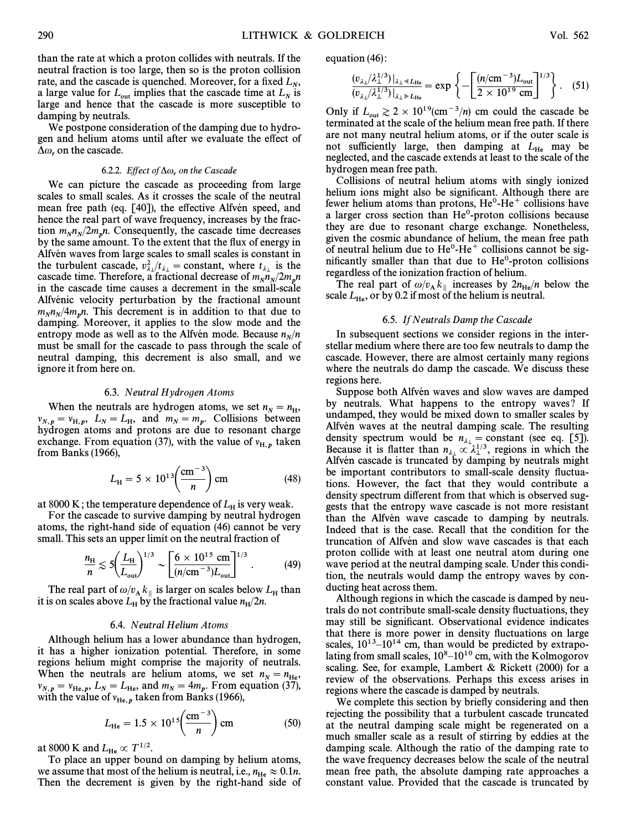than the rate at which a proton collides with neutrals. If the neutral fraction is too large, then so is the proton collision rate, and the cascade is quenched. Moreover, for a fixed  $L_N$ ,<br>a large value for  $\overline{L}$  implies that the cascade time at  $\overline{L}$  is a large value for  $L_{\text{out}}$  implies that the cascade time at  $L_N$  is large and hence that the cascade is more susceptible to damping by neutrals.

We postpone consideration of the damping due to hydrogen and helium atoms until after we evaluate the effect of  $\Delta\omega_r$ , on the cascade.

6.2.2. *Effect of*  $\Delta \omega$ , *on the Cascade*<br>We can picture the cascade as proceeding from large scales to small scales. As it crosses the scale of the neutral mean free path (eq. [40]), the effective Alfvén speed, and hence the real part of wave frequency, increases by the fraction  $m_N n_N/2m_p n$ . Consequently, the cascade time decreases<br>by the same amount To the extent that the flux of energy in  $\frac{1}{\ln N}$  by the same amount. To the extent that the flux of energy in Alfvén waves from large scales to small scales is constant in the turbulent cascade,  $v_{\lambda}^2/t_{\lambda}$  = constant, where  $t_{\lambda}$  is the the through the cascade time. Therefore, a fractional decrease of  $m_N/2m_p$ <br>in the cascade time. Current in the small scale in the cascade time causes a decrement in the small-scale Alfvénic velocity perturbation by the fractional amount  $m_N n_N/4 m_p n$ . This decrement is in addition to that due to  $A$  anning Moreover, it applies to the slow mode and the  $\frac{M_{NN} + M_{p}}{M_{NN}}$ . This decrement is in addition to that due to damping. Moreover, it applies to the slow mode and the entropy mode as well as to the Alfvén mode. Because  $n_N/n$  $M_{N}$  must be small for the cascade to pass through the scale of neutral damping, this decrement is also small, and we ignore it from here on.

#### 6.3. Neutral Hydrogen Atoms

When the neutrals are hydrogen atoms, we set  $n_N = n_H$ ,<br> $\bar{N}_N = N_1 - I_2$  and  $m = m$ . Collisions, between  $v_{R,p} = v_{H,p}$ ,  $L_N = L_H$ , and  $m_N = m_p$ . Collisions between  $v_{R,p} = \mu_{R,p}$ hydrogen atoms and protons are due to resonant charge exchange. From equation (37), with the value of  $v_{H,p}$  taken from Banks (1966),

$$
L_{\rm H} = 5 \times 10^{13} \left( \frac{\rm cm^{-3}}{n} \right) \rm cm \tag{48}
$$

at 8000 K; the temperature dependence of  $L_H$  is very weak.<br>For the cascade to survive damping by neutral hydrogen atoms, the right-hand side of equation (46) cannot be very

small. This sets an upper limit on the neutral fraction of  
\n
$$
\frac{n_{\rm H}}{n} \lesssim 5 \bigg( \frac{L_{\rm H}}{L_{\rm out}} \bigg)^{1/3} \sim \bigg[ \frac{6 \times 10^{15} \text{ cm}}{(n/\text{cm}^{-3}) L_{\rm out}} \bigg]^{1/3} . \tag{49}
$$

The real part of  $\omega/v_A k_{\parallel}$  is larger on scales below  $L_H$  than it is on scales above  $L_H$  by the fractional value  $n_H/2n$ .  $H^{2n}$ 

#### 6.4. Neutral Helium Atoms

Although helium has a lower abundance than hydrogen, it has a higher ionization potential. Therefore, in some regions helium might comprise the majority of neutrals. When the neutrals are helium atoms, we set  $n_N = n_{\text{He}}$ ,<br> $\frac{1}{N} = \frac{1}{N} = \frac{1}{N} = \frac{1}{N} = \frac{1}{N} = \frac{1}{N} = \frac{1}{N} = \frac{1}{N} = \frac{1}{N} = \frac{1}{N} = \frac{1}{N} = \frac{1}{N} = \frac{1}{N} = \frac{1}{N} = \frac{1}{N} = \frac{1}{N} = \frac{1}{N} = \frac{1}{N} = \frac{1}{N} = \frac{1}{N} = \frac{$  $\nu_{N,p} = \nu_{\text{He},p}, L_N = L_{\text{He}}, \text{ and } m_N = 4m_p. \text{ From equation (37)},$ 

with the value of 
$$
v_{\text{He},p}
$$
 taken from Banks (1966),  

$$
L_{\text{He}} = 1.5 \times 10^{15} \left( \frac{\text{cm}^{-3}}{n} \right) \text{cm}
$$
(50)

at 8000 K and  $L_{\text{He}} \propto T^{1/2}$ .

To place an upper bound on damping by helium atoms, we assume that most of the helium is neutral, i.e.,  $n_{\text{He}} \approx 0.1n$ .<br>Then, the decrement is given by the right-hand side of Then the decrement is given by the right-hand side of equation (46) :

$$
\frac{(v_{\lambda\perp}/\lambda_{\perp}^{1/3})|_{\lambda_{\perp} \ll L_{\text{He}}}}{(v_{\lambda\perp}/\lambda_{\perp}^{1/3})|_{\lambda_{\perp} \gg L_{\text{He}}}} = \exp\left\{-\left[\frac{(n/\text{cm}^{-3})L_{\text{out}}}{2 \times 10^{19} \text{ cm}}\right]^{1/3}\right\}.
$$
 (51)

Only if  $L_{\text{out}} \geq 2 \times 10^{19} (\text{cm}^{-3}/n)$  cm could the cascade be terminated at the scale of the helium mean free path. If there are not many neutral helium atoms, or if the outer scale is not sufficiently large, then damping at  $L_{\text{He}}$  may be neglected, and the cascade extends at least to the scale of the hydrogen mean free path.

Collisions of neutral helium atoms with singly ionized helium ions might also be significant. Although there are fewer helium atoms than protons,  $He^{0}He^{+}$  collisions have a larger cross section than  $He<sup>0</sup>$ -proton collisions because they are due to resonant charge exchange. Nonetheless, given the cosmic abundance of helium, the mean free path of neutral helium due to  $He^{0}$ -He<sup>+</sup> collisions cannot be significantly smaller than that due to  $He<sup>0</sup>$ -proton collisions regardless of the ionization fraction of helium.

The real part of  $\omega/v_A k_{\parallel}$  increases by  $2n_{\text{He}}/n$  below the u/v  $\Omega$  if most of the belium is neutral scale  $L_{\text{He}}$ , or by 0.2 if most of the helium is neutral.

#### 6.5. If Neutrals Damp the Cascade

In subsequent sections we consider regions in the interstellar medium where there are too few neutrals to damp the cascade. However, there are almost certainly many regions where the neutrals do damp the cascade. We discuss these regions here.

Suppose both Alfvén waves and slow waves are damped by neutrals. What happens to the entropy waves? If undamped, they would be mixed down to smaller scales by Alfvén waves at the neutral damping scale. The resulting density spectrum would be  $n_{\lambda_{\perp}} = \text{constant}$  (see eq. [5]).<br>Because it is flatter than  $n_{\text{max}} \approx 1^{1/3}$  regions in which the Because it is flatter than  $n_{\lambda_1} \propto \lambda_1^{1/3}$ , regions in which the Alfvén cascade is truncated by damping by neutrals might be important contributors to small-scale density fluctuations. However, the fact that they would contribute a density spectrum different from that which is observed suggests that the entropy wave cascade is not more resistant than the Alfvén wave cascade to damping by neutrals. Indeed that is the case. Recall that the condition for the truncation of Alfvén and slow wave cascades is that each proton collide with at least one neutral atom during one wave period at the neutral damping scale. Under this condition, the neutrals would damp the entropy waves by conducting heat across them.

Although regions in which the cascade is damped by neutrals do not contribute small-scale density fluctuations, they may still be significant. Observational evidence indicates that there is more power in density fluctuations on large scales,  $10^{13}$ – $10^{14}$  cm, than would be predicted by extrapolating from small scales,  $10^8-10^{10}$  cm, with the Kolmogorov scaling. See, for example, Lambert & Rickett (2000) for a review of the observations. Perhaps this excess arises in regions where the cascade is damped by neutrals.

We complete this section by briefly considering and then rejecting the possibility that a turbulent cascade truncated at the neutral damping scale might be regenerated on a much smaller scale as a result of stirring by eddies at the damping scale. Although the ratio of the damping rate to the wave frequency decreases below the scale of the neutral mean free path, the absolute damping rate approaches a constant value. Provided that the cascade is truncated by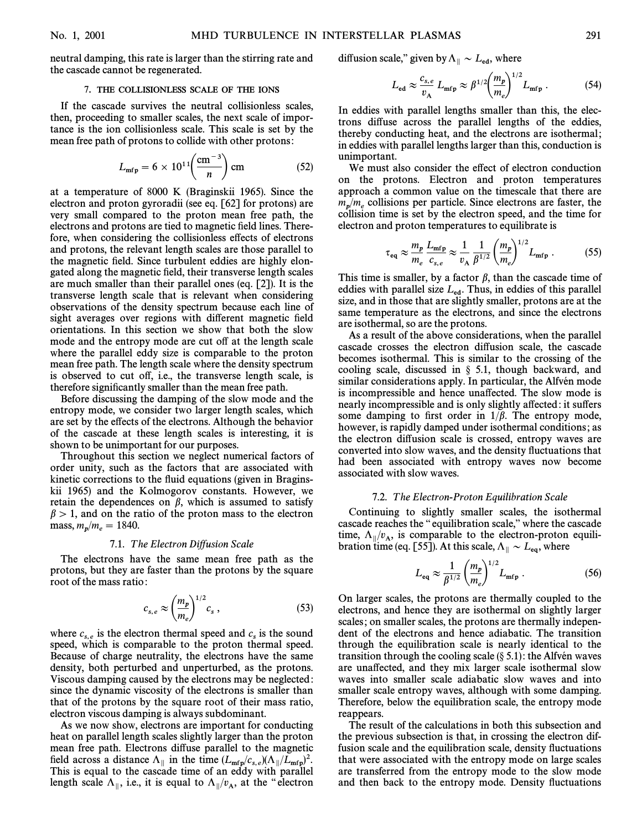neutral damping, this rate is larger than the stirring rate and the cascade cannot be regenerated.

#### 7. THE COLLISIONLESS SCALE OF THE IONS

If the cascade survives the neutral collisionless scales, then, proceeding to smaller scales, the next scale of importance is the ion collisionless scale. This scale is set by the

mean free path of protons to collide with other protons:  

$$
L_{\rm mfp} = 6 \times 10^{11} \left( \frac{\rm cm^{-3}}{n} \right) \rm cm
$$
 (52)

at a temperature of 8000 K (Braginskii 1965). Since the electron and proton gyroradii (see eq. [62] for protons) are very small compared to the proton mean free path, the electrons and protons are tied to magnetic field lines. Therefore, when considering the collisionless effects of electrons and protons, the relevant length scales are those parallel to the magnetic field. Since turbulent eddies are highly elongated along the magnetic field, their transverse length scales are much smaller than their parallel ones (eq. [2]). It is the transverse length scale that is relevant when considering observations of the density spectrum because each line of sight averages over regions with different magnetic field orientations. In this section we show that both the slow mode and the entropy mode are cut off at the length scale where the parallel eddy size is comparable to the proton mean free path. The length scale where the density spectrum is observed to cut off, i.e., the transverse length scale, is therefore significantly smaller than the mean free path.

Before discussing the damping of the slow mode and the entropy mode, we consider two larger length scales, which are set by the e†ects of the electrons. Although the behavior of the cascade at these length scales is interesting, it is shown to be unimportant for our purposes.

Throughout this section we neglect numerical factors of order unity, such as the factors that are associated with kinetic corrections to the fluid equations (given in Braginskii 1965) and the Kolmogorov constants. However, we retain the dependences on  $\beta$ , which is assumed to satisfy  $\beta$  > 1, and on the ratio of the proton mass to the electron mass,  $m_p/m_e = 1840$ .

#### 7.1. The Electron Diffusion Scale

The electrons have the same mean free path as the protons, but they are faster than the protons by the square root of the mass ratio :

$$
c_{s,e} \approx \left(\frac{m_p}{m_e}\right)^{1/2} c_s , \qquad (53)
$$

where  $c_{s,e}$  is the electron thermal speed and  $c_s$  is the sound speed, which is comparable to the proton thermal speed. speed, which is comparable to the proton thermal speed. Because of charge neutrality, the electrons have the same density, both perturbed and unperturbed, as the protons. Viscous damping caused by the electrons may be neglected : since the dynamic viscosity of the electrons is smaller than that of the protons by the square root of their mass ratio, electron viscous damping is always subdominant.

As we now show, electrons are important for conducting heat on parallel length scales slightly larger than the proton mean free path. Electrons diffuse parallel to the magnetic field across a distance  $\Lambda_{\parallel}$  in the time  $(L_{\rm mfp}/c_{s,e})(\Lambda_{\parallel}/L_{\rm mfp})^2$ .<br>This is equal to the cascade time of an eddy with parallel length scale  $\Lambda_{\parallel}$ , i.e., it is equal to  $\Lambda_{\parallel}/v_A$ , at the "electron

diffusion scale," given by 
$$
\Lambda_{\parallel} \sim L_{\text{ed}}
$$
, where  

$$
L_{\text{ed}} \approx \frac{c_{s,e}}{v_{\text{A}}} L_{\text{mfp}} \approx \beta^{1/2} \left(\frac{m_p}{m_e}\right)^{1/2} L_{\text{mfp}} . \tag{54}
$$

In eddies with parallel lengths smaller than this, the electrons di†use across the parallel lengths of the eddies, thereby conducting heat, and the electrons are isothermal ; in eddies with parallel lengths larger than this, conduction is unimportant.

We must also consider the effect of electron conduction on the protons. Electron and proton temperatures approach a common value on the timescale that there are  $m_n/m_e$  collisions per particle. Since electrons are faster, the collision time is set by the electron speed, and the time for

electron and proton temperatures to equilibrate is  
\n
$$
\tau_{\text{eq}} \approx \frac{m_p}{m_e} \frac{L_{\text{mfp}}}{c_{s,e}} \approx \frac{1}{v_A} \frac{1}{\beta^{1/2}} \left(\frac{m_p}{m_e}\right)^{1/2} L_{\text{mfp}}.
$$
\n(55)

This time is smaller, by a factor  $\beta$ , than the cascade time of eddies with parallel size  $L_{\text{ed}}$ . Thus, in eddies of this parallel size, and in those that are slightly smaller, protons are at the same temperature as the electrons, and since the electrons are isothermal, so are the protons.

As a result of the above considerations, when the parallel cascade crosses the electron diffusion scale, the cascade becomes isothermal. This is similar to the crossing of the cooling scale, discussed in  $\S$  5.1, though backward, and similar considerations apply. In particular, the Alfven mode is incompressible and hence una†ected. The slow mode is nearly incompressible and is only slightly affected: it suffers some damping to first order in  $1/\beta$ . The entropy mode, however, is rapidly damped under isothermal conditions; as the electron diffusion scale is crossed, entropy waves are converted into slow waves, and the density fluctuations that had been associated with entropy waves now become associated with slow waves.

# 7.2. T he Electron-Proton Equilibration Scale

Continuing to slightly smaller scales, the isothermal cascade reaches the "equilibration scale," where the cascade time,  $\Lambda_{\parallel}/v_{\rm A}$ , is comparable to the electron-proton equili-<br>bration time (eq. 555), At this scale  $\Lambda_{\parallel}$ , where

$$
\text{transition time (eq. [55]). At this scale, } \Lambda_{\parallel} \sim L_{\text{eq}}, \text{ where}
$$
\n
$$
L_{\text{eq}} \approx \frac{1}{\beta^{1/2}} \left(\frac{m_p}{m_e}\right)^{1/2} L_{\text{mfp}}. \tag{56}
$$

On larger scales, the protons are thermally coupled to the electrons, and hence they are isothermal on slightly larger scales; on smaller scales, the protons are thermally independent of the electrons and hence adiabatic. The transition through the equilibration scale is nearly identical to the transition through the cooling scale  $(\S 5.1)$ : the Alfvén waves are una†ected, and they mix larger scale isothermal slow waves into smaller scale adiabatic slow waves and into smaller scale entropy waves, although with some damping. Therefore, below the equilibration scale, the entropy mode reappears.

The result of the calculations in both this subsection and the previous subsection is that, in crossing the electron diffusion scale and the equilibration scale, density fluctuations that were associated with the entropy mode on large scales are transferred from the entropy mode to the slow mode and then back to the entropy mode. Density fluctuations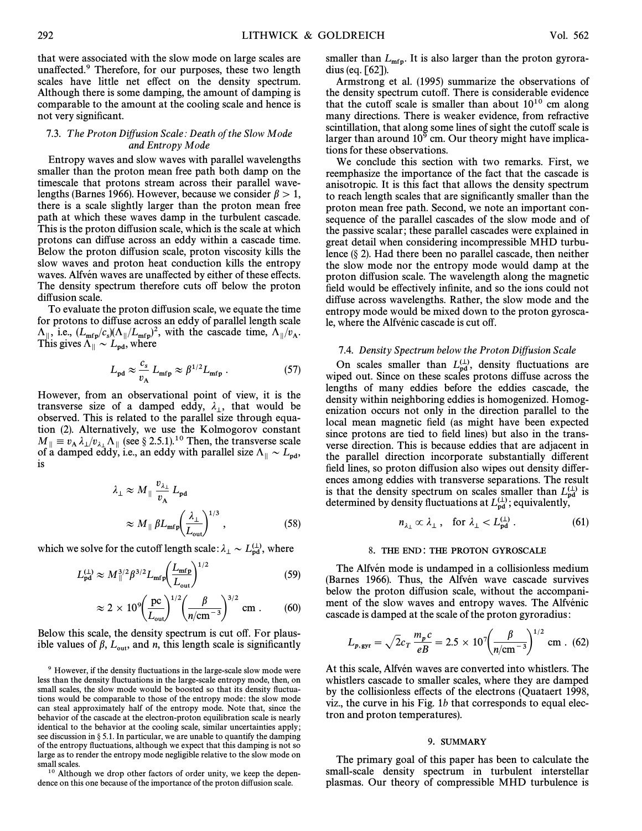that were associated with the slow mode on large scales are unaffected.<sup>9</sup> Therefore, for our purposes, these two length scales have little net effect on the density spectrum. Although there is some damping, the amount of damping is comparable to the amount at the cooling scale and hence is not very significant.

#### 7.3. The Proton Diffusion Scale: Death of the Slow Mode and Entropy Mode

Entropy waves and slow waves with parallel wavelengths smaller than the proton mean free path both damp on the timescale that protons stream across their parallel wavelengths (Barnes 1966). However, because we consider  $\beta > 1$ , there is a scale slightly larger than the proton mean free path at which these waves damp in the turbulent cascade. This is the proton diffusion scale, which is the scale at which protons can diffuse across an eddy within a cascade time. Below the proton diffusion scale, proton viscosity kills the slow waves and proton heat conduction kills the entropy waves. Alfvén waves are unaffected by either of these effects. The density spectrum therefore cuts off below the proton diffusion scale.

To evaluate the proton diffusion scale, we equate the time for protons to diffuse across an eddy of parallel length scale  $\Lambda_{\parallel}$ , i.e.,  $(L_{\rm mfp}/c_s)(\Lambda_{\parallel}/L_{\rm mfp})^2$ , with the cascade time,  $\Lambda_{\parallel}/v_A$ .<br>This gives  $\Lambda_{\parallel}$ , where This gives  $\Lambda_{\parallel} \sim L_{\text{pd}}$ , where

$$
L_{\rm pd} \approx \frac{c_s}{v_{\rm A}} L_{\rm mfp} \approx \beta^{1/2} L_{\rm mfp} \ . \tag{57}
$$

However, from an observational point of view, it is the transverse size of a damped eddy,  $\lambda_{\perp}$ , that would be characteristic size of a damped eddy,  $\pi_1$ , that would be<br>observed. This is related to the parallel size through equation (2). Alternatively, we use the Kolmogorov constant  $M_{\parallel} \equiv v_{A} \lambda_{\perp}/v_{\lambda_{\perp}} \Lambda_{\parallel}$  (see § 2.5.1).<sup>10</sup> Then, the transverse scale of a damned addy i.e. an eddy with parallel size  $\Lambda_{\parallel} \sim I$  $M_{\parallel} = c_A n_{\perp} / v_{\perp} / \sqrt{N_{\parallel} N_{\parallel}}$  (see § 2.3.1). Then, the fund verse search  $\Delta_{\parallel} \sim L_{\rm pd}$ ,<br>of a damped eddy, i.e., an eddy with parallel size  $\Lambda_{\parallel} \sim L_{\rm pd}$ , is

$$
\lambda_{\perp} \approx M_{\parallel} \frac{v_{\lambda_{\perp}}}{v_{\rm A}} L_{\rm pd}
$$
\n
$$
\approx M_{\parallel} \beta L_{\rm mfp} \left(\frac{\lambda_{\perp}}{L_{\rm out}}\right)^{1/3}, \qquad (58)
$$

which we solve for the cutoff length scale: 
$$
\lambda_{\perp} \sim L_{\text{pd}}^{(\perp)}
$$
, where  

$$
L_{\text{pd}}^{(\perp)} \approx M_{\parallel}^{3/2} \beta^{3/2} L_{\text{mfp}} \left( \frac{L_{\text{mfp}}}{L_{\text{out}}} \right)^{1/2}
$$
(59)

$$
\approx 2 \times 10^9 \left( \frac{\text{pc}}{L_{\text{out}}} \right)^{1/2} \left( \frac{\beta}{n/\text{cm}^{-3}} \right)^{3/2} \text{cm}.
$$
 (60)

Below this scale, the density spectrum is cut off. For plausible values of  $\beta$ ,  $L_{\text{out}}$ , and *n*, this length scale is significantly

<sup>10</sup> Although we drop other factors of order unity, we keep the dependence on this one because of the importance of the proton diffusion scale.

smaller than  $L_{\rm mfp}$ . It is also larger than the proton gyroradius (eq. [62]).

Armstrong et al. (1995) summarize the observations of the density spectrum cutoff. There is considerable evidence that the cutoff scale is smaller than about  $10^{10}$  cm along many directions. There is weaker evidence, from refractive scintillation, that along some lines of sight the cutoff scale is larger than around  $10^9$  cm. Our theory might have implications for these observations.

We conclude this section with two remarks. First, we reemphasize the importance of the fact that the cascade is anisotropic. It is this fact that allows the density spectrum to reach length scales that are significantly smaller than the proton mean free path. Second, we note an important consequence of the parallel cascades of the slow mode and of the passive scalar; these parallel cascades were explained in great detail when considering incompressible MHD turbulence  $(\S 2)$ . Had there been no parallel cascade, then neither the slow mode nor the entropy mode would damp at the proton diffusion scale. The wavelength along the magnetic field would be effectively infinite, and so the ions could not diffuse across wavelengths. Rather, the slow mode and the entropy mode would be mixed down to the proton gyroscale, where the Alfvénic cascade is cut off.

#### 7.4. Density Spectrum below the Proton Diffusion Scale

On scales smaller than  $L_{pd}^{(1)}$ , density fluctuations are ned out Since on these scales protons diffuse across the wiped out. Since on these scales protons diffuse across the lengths of many eddies before the eddies cascade, the density within neighboring eddies is homogenized. Homogenization occurs not only in the direction parallel to the local mean magnetic field (as might have been expected since protons are tied to field lines) but also in the transverse direction. This is because eddies that are adjacent in the parallel direction incorporate substantially different field lines, so proton diffusion also wipes out density differences among eddies with transverse separations. The result is that the density spectrum on scales smaller than  $L_{\text{pd}}^{(\perp)}$  is determined by density fluctuations at  $I^{(\perp)}$  conjugated by determined by density fluctuations at  $L_{\text{pd}}^{(\perp)}$ ; equivalently,

$$
n_{\lambda_{\perp}} \propto \lambda_{\perp} \,, \quad \text{for } \lambda_{\perp} < L_{\text{pd}}^{(\perp)} \,. \tag{61}
$$

#### 8. THE END: THE PROTON GYROSCALE

The Alfvén mode is undamped in a collisionless medium (Barnes 1966). Thus, the Alfvén wave cascade survives below the proton diffusion scale, without the accompaniment of the slow waves and entropy waves. The Alfvénic cascade is damped at the scale of the proton gyroradius :

$$
L_{p, \text{gyr}} = \sqrt{2}c_T \frac{m_p c}{eB} = 2.5 \times 10^7 \left(\frac{\beta}{n/\text{cm}^{-3}}\right)^{1/2} \text{cm} \quad (62)
$$

At this scale, Alfvén waves are converted into whistlers. The whistlers cascade to smaller scales, where they are damped by the collisionless e†ects of the electrons (Quataert 1998, viz., the curve in his Fig.  $1b$  that corresponds to equal electron and proton temperatures).

#### 9. SUMMARY

The primary goal of this paper has been to calculate the small-scale density spectrum in turbulent interstellar plasmas. Our theory of compressible MHD turbulence is

<sup>&</sup>lt;sup>9</sup> However, if the density fluctuations in the large-scale slow mode were less than the density fluctuations in the large-scale entropy mode, then, on small scales, the slow mode would be boosted so that its density fluctuations would be comparable to those of the entropy mode : the slow mode can steal approximately half of the entropy mode. Note that, since the behavior of the cascade at the electron-proton equilibration scale is nearly identical to the behavior at the cooling scale, similar uncertainties apply ; see discussion in  $\S$  5.1. In particular, we are unable to quantify the damping of the entropy fluctuations, although we expect that this damping is not so large as to render the entropy mode negligible relative to the slow mode on small scales.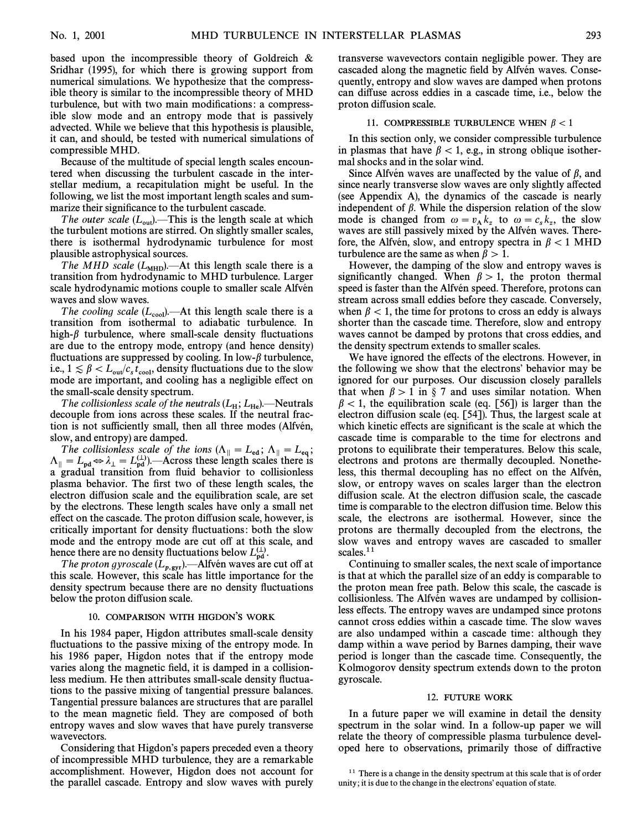based upon the incompressible theory of Goldreich & Sridhar (1995), for which there is growing support from numerical simulations. We hypothesize that the compressible theory is similar to the incompressible theory of MHD turbulence, but with two main modifications: a compressible slow mode and an entropy mode that is passively advected. While we believe that this hypothesis is plausible, it can, and should, be tested with numerical simulations of compressible MHD.

Because of the multitude of special length scales encountered when discussing the turbulent cascade in the interstellar medium, a recapitulation might be useful. In the following, we list the most important length scales and summarize their significance to the turbulent cascade.

The outer scale  $(L_{\text{out}})$ . This is the length scale at which the turbulent motions are stirred. On slightly smaller scales, there is isothermal hydrodynamic turbulence for most plausible astrophysical sources.

The MHD scale  $(L_{\text{MHD}})$ . At this length scale there is a transition from hydrodynamic to MHD turbulence. Larger scale hydrodynamic motions couple to smaller scale Alfvén waves and slow waves.

The cooling scale  $(L_{cool})$ . At this length scale there is a transition from isothermal to adiabatic turbulence. In high- $\beta$  turbulence, where small-scale density fluctuations are due to the entropy mode, entropy (and hence density) fluctuations are suppressed by cooling. In low- $\beta$  turbulence, i.e.,  $1 \leq \beta < L_{\text{out}}/c_s t_{\text{cool}}$ , density fluctuations due to the slow mode are important, and cooling has a negligible effect on  $\cos A \gtrsim \frac{1}{2}$  or  $\frac{1}{2}$   $\cos A$  cooling has a negligible effect on the small-scale density spectrum.

The collisionless scale of the neutrals  $(L_H; L_{He})$ . Neutrals decouple from ions across these scales. If the neutral fraction is not sufficiently small, then all three modes (Alfvén, slow, and entropy) are damped.

The collisionless scale of the ions  $(\Lambda_{\parallel} = L_{\rm ed}; \Lambda_{\parallel} = L_{\rm eq};$  $\Lambda_{\parallel} = L_{\text{pd}} \Leftrightarrow \lambda_{\perp} = L_{\text{pd}}^{(\perp)}$ . Across these length scales there is a gradual transition from fluid behavior to collisionless plasma behavior. The first two of these length scales, the electron diffusion scale and the equilibration scale, are set by the electrons. These length scales have only a small net effect on the cascade. The proton diffusion scale, however, is critically important for density fluctuations: both the slow mode and the entropy mode are cut off at this scale, and hence there are no density fluctuations below  $L_{\rm pd}^{(1)}$ .<br>The proton gyroscale  $(I_{\rm end})$   $\rightarrow$  Alfvén ways are

The proton gyroscale  $(L_{p,gyr})$ . Alfvén waves are cut off at p, scale However, this scale has little importance for the this scale. However, this scale has little importance for the density spectrum because there are no density fluctuations below the proton diffusion scale.

#### 10. COMPARISON WITH HIGDON'S WORK

In his 1984 paper, Higdon attributes small-scale density fluctuations to the passive mixing of the entropy mode. In his 1986 paper, Higdon notes that if the entropy mode varies along the magnetic field, it is damped in a collisionless medium. He then attributes small-scale density fluctuations to the passive mixing of tangential pressure balances. Tangential pressure balances are structures that are parallel to the mean magnetic field. They are composed of both entropy waves and slow waves that have purely transverse wavevectors.

Considering that Higdon's papers preceded even a theory of incompressible MHD turbulence, they are a remarkable accomplishment. However, Higdon does not account for the parallel cascade. Entropy and slow waves with purely transverse wavevectors contain negligible power. They are cascaded along the magnetic field by Alfvén waves. Consequently, entropy and slow waves are damped when protons can di†use across eddies in a cascade time, i.e., below the proton diffusion scale.

#### 11. COMPRESSIBLE TURBULENCE WHEN  $\beta < 1$

In this section only, we consider compressible turbulence in plasmas that have  $\beta < 1$ , e.g., in strong oblique isothermal shocks and in the solar wind.

Since Alfvén waves are unaffected by the value of  $\beta$ , and since nearly transverse slow waves are only slightly affected (see Appendix A), the dynamics of the cascade is nearly independent of  $\beta$ . While the dispersion relation of the slow mode is changed from  $\omega = v_A k_z$  to  $\omega = c_s k_z$ , the slow<br>waves are still passively mixed by the Alfvén waves. There waves are still passively mixed by the Alfvén waves. Therefore, the Alfvén, slow, and entropy spectra in  $\beta$  < 1 MHD turbulence are the same as when  $\beta > 1$ .

However, the damping of the slow and entropy waves is significantly changed. When  $\beta > 1$ , the proton thermal speed is faster than the Alfvén speed. Therefore, protons can stream across small eddies before they cascade. Conversely, when  $\beta$  < 1, the time for protons to cross an eddy is always shorter than the cascade time. Therefore, slow and entropy waves cannot be damped by protons that cross eddies, and the density spectrum extends to smaller scales.

We have ignored the effects of the electrons. However, in the following we show that the electrons' behavior may be ignored for our purposes. Our discussion closely parallels that when  $\beta > 1$  in § 7 and uses similar notation. When  $\beta$  < 1, the equilibration scale (eq. [56]) is larger than the electron diffusion scale (eq.  $[54]$ ). Thus, the largest scale at which kinetic effects are significant is the scale at which the cascade time is comparable to the time for electrons and protons to equilibrate their temperatures. Below this scale, electrons and protons are thermally decoupled. Nonetheless, this thermal decoupling has no effect on the Alfvén, slow, or entropy waves on scales larger than the electron diffusion scale. At the electron diffusion scale, the cascade time is comparable to the electron diffusion time. Below this scale, the electrons are isothermal. However, since the protons are thermally decoupled from the electrons, the slow waves and entropy waves are cascaded to smaller scales.<sup>11</sup>

Continuing to smaller scales, the next scale of importance is that at which the parallel size of an eddy is comparable to the proton mean free path. Below this scale, the cascade is collisionless. The Alfvén waves are undamped by collisionless effects. The entropy waves are undamped since protons cannot cross eddies within a cascade time. The slow waves are also undamped within a cascade time: although they damp within a wave period by Barnes damping, their wave period is longer than the cascade time. Consequently, the Kolmogorov density spectrum extends down to the proton gyroscale.

#### 12. FUTURE WORK

In a future paper we will examine in detail the density spectrum in the solar wind. In a follow-up paper we will relate the theory of compressible plasma turbulence developed here to observations, primarily those of diffractive

<sup>&</sup>lt;sup>11</sup> There is a change in the density spectrum at this scale that is of order unity; it is due to the change in the electrons' equation of state.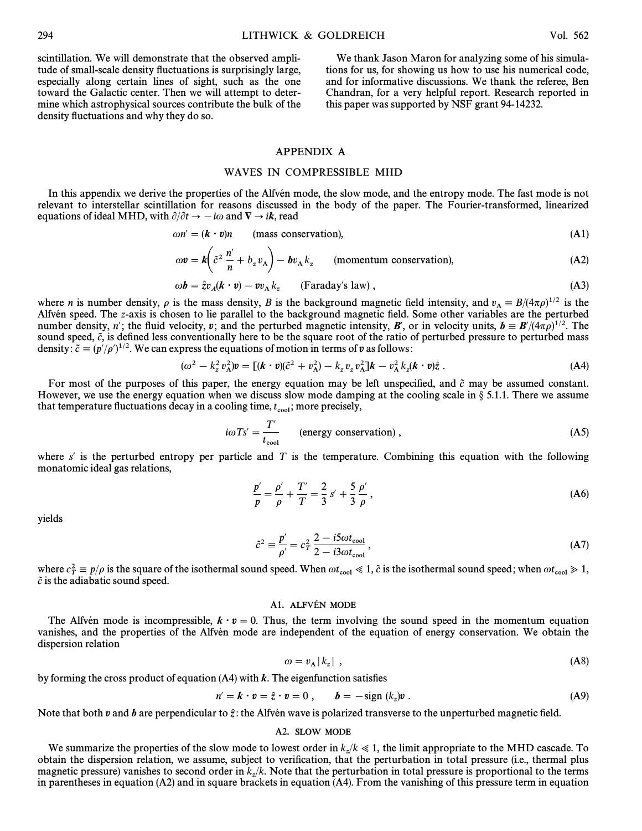scintillation. We will demonstrate that the observed amplitude of small-scale density fluctuations is surprisingly large, especially along certain lines of sight, such as the one toward the Galactic center. Then we will attempt to determine which astrophysical sources contribute the bulk of the density fluctuations and why they do so.

We thank Jason Maron for analyzing some of his simulations for us, for showing us how to use his numerical code, and for informative discussions. We thank the referee, Ben Chandran, for a very helpful report. Research reported in this paper was supported by NSF grant 94-14232.

# APPENDIX A

# WAVES IN COMPRESSIBLE MHD

In this appendix we derive the properties of the Alfven mode, the slow mode, and the entropy mode. The fast mode is not relevant to interstellar scintillation for reasons discussed in the body of the paper. The Fourier-transformed, linearized equations of ideal MHD, with  $\partial/\partial t \to -i\omega$  and  $\nabla \to i\mathbf{k}$ , read

$$
\omega n' = (\mathbf{k} \cdot \mathbf{v})n \qquad \text{(mass conservation)}, \tag{A1}
$$

$$
\omega v = k \left( \tilde{c}^2 \frac{n'}{n} + b_z v_A \right) - b v_A k_z \qquad \text{(momentum conservation)}, \tag{A2}
$$

$$
\omega \mathbf{b} = \hat{z} v_A (\mathbf{k} \cdot \mathbf{v}) - v v_A k_z \qquad \text{(Faraday's law)}\,,\tag{A3}
$$

where *n* is number density,  $\rho$  is the mass density, *B* is the background magnetic field intensity, and  $v_A = B/(4\pi\rho)^{1/2}$  is the Alfvén speed. The z-axis is chosen to lie parallel to the background magnetic field. Som Alfvén speed. The z-axis is chosen to lie parallel to the background magnetic field. Some other variables are the perturbed number density, n'; the fluid velocity, v; and the perturbed magnetic intensity, B', or in velocity units,  $b = B'/(4\pi\rho)^{1/2}$ . The sound speed,  $\tilde{c}$ , is defined less conventionally here to be the square root of the ratio of perturbed pressure to perturbed mass density:  $\tilde{c} \equiv (p'/\rho')^{1/2}$ . We can express the equations of motion in terms of v as follows:

$$
(\omega^2 - k_z^2 v_\text{A}^2) \mathbf{v} = \left[ (\mathbf{k} \cdot \mathbf{v})(\tilde{c}^2 + v_\text{A}^2) - k_z v_z v_\text{A}^2 \right] \mathbf{k} - v_\text{A}^2 k_z (\mathbf{k} \cdot \mathbf{v}) \hat{z} \ . \tag{A4}
$$

For most of the purposes of this paper, the energy equation may be left unspecified, and  $\tilde{c}$  may be assumed constant. However, we use the energy equation when we discuss slow mode damping at the cooling scale in  $\S 5.1.1$ . There we assume that temperature fluctuations decay in a cooling time,  $t_{\rm cool}$ ; more precisely,

$$
i\omega Ts' = \frac{T'}{t_{\text{cool}}} \qquad \text{(energy conservation)}\,,\tag{A5}
$$

where s' is the perturbed entropy per particle and T is the temperature. Combining this equation with the following monatomic ideal gas relations,

$$
\frac{p'}{p} = \frac{\rho'}{\rho} + \frac{T'}{T} = \frac{2}{3} s' + \frac{5}{3} \frac{\rho'}{\rho},
$$
 (A6)

yields

$$
\tilde{c}^2 \equiv \frac{p'}{\rho'} = c_T^2 \frac{2 - i5\omega t_{\text{cool}}}{2 - i3\omega t_{\text{cool}}},\tag{A7}
$$

where  $c_T^2 \equiv p/\rho$  is the square of the isothermal sound speed. When  $\omega t_{\rm cool} \ll 1$ ,  $\tilde{c}$  is the isothermal sound speed; when  $\omega t_{\rm cool} \gg 1$ ,  $\tilde{c}$  is the adjointing sound speed where  $c_T = p/p$  is the equation

### A1. ALFVÉN MODE

The Alfven mode is incompressible,  $k \cdot v = 0$ . Thus, the term involving the sound speed in the momentum equation vanishes, and the properties of the Alfvén mode are independent of the equation of energy conservation. We obtain the dispersion relation

$$
\omega = v_{\mathbf{A}} |k_z| \tag{A8}
$$

by forming the cross product of equation  $(A4)$  with  $k$ . The eigenfunction satisfies

$$
n' = k \cdot v = \hat{z} \cdot v = 0 , \qquad b = -\text{sign}(k_z)v . \tag{A9}
$$

Note that both  $v$  and  $\bar{b}$  are perpendicular to  $\hat{z}$ : the Alfvén wave is polarized transverse to the unperturbed magnetic field.

#### A2. SLOW MODE

We summarize the properties of the slow mode to lowest order in  $k_z/k \ll 1$ , the limit appropriate to the MHD cascade. To obtain the dispersion relation, we assume, subject to verification, that the perturbation in total pressure (i.e., thermal plus magnetic pressure) vanishes to second order in  $k_z/k$ . Note that the perturbation in total pressure is proportional to the terms in parentheses in equation (A2) and in square brackets in equation (A4). From the vanishing of this pressure term in equation  $($ A2) and in square brackets in equation (A4). From the vanishing of this pressure term in equ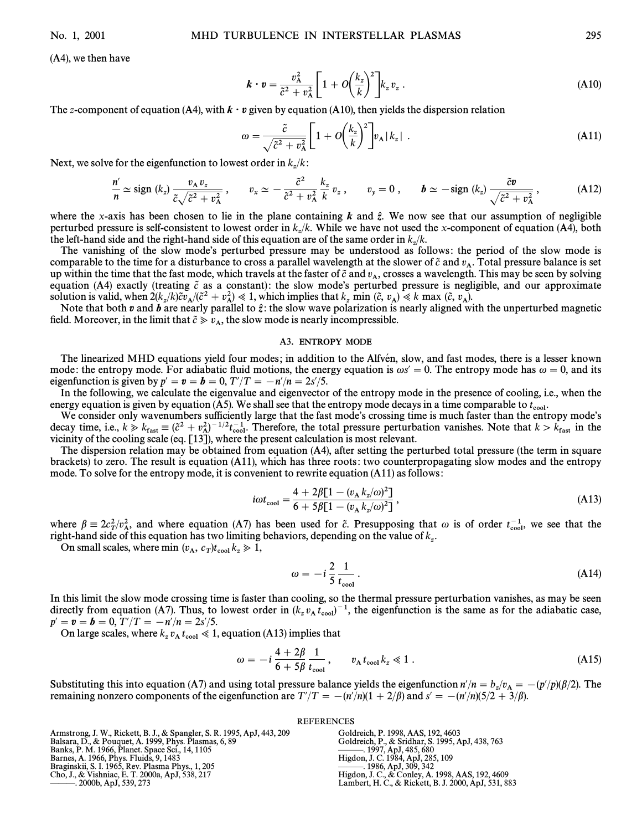(A4), we then have

$$
\boldsymbol{k} \cdot \boldsymbol{v} = \frac{v_{\rm A}^2}{\tilde{c}^2 + v_{\rm A}^2} \left[ 1 + O\left(\frac{k_z}{k}\right)^2 \right] k_z v_z \,. \tag{A10}
$$

The z-component of equation (A4), with 
$$
\mathbf{k} \cdot \mathbf{v}
$$
 given by equation (A10), then yields the dispersion relation  
\n
$$
\omega = \frac{\tilde{c}}{\sqrt{\tilde{c}^2 + v_A^2}} \left[ 1 + O\left(\frac{k_z}{k}\right)^2 \right] v_A |k_z| \tag{A11}
$$

Next, we solve for the eigenfunction to lowest order in  $k_z/k$ :

$$
\frac{n'}{n} \simeq \text{sign} \ (k_z) \ \frac{v_A \ v_z}{\tilde{c}\sqrt{\tilde{c}^2 + v_A^2}}, \qquad v_x \simeq -\frac{\tilde{c}^2}{\tilde{c}^2 + v_A^2} \ \frac{k_z}{k} \ v_z \ , \qquad v_y = 0 \ , \qquad \boldsymbol{b} \simeq -\text{sign} \ (k_z) \ \frac{\tilde{c}\boldsymbol{v}}{\sqrt{\tilde{c}^2 + v_A^2}} \ , \tag{A12}
$$

where the x-axis has been chosen to lie in the plane containing  $k$  and  $\hat{z}$ . We now see that our assumption of negligible perturbed pressure is self-consistent to lowest order in  $k_z/k$ . While we have not used the x-component of equation (A4), both the left-hand side and the right-hand side of this equation are of the same order in  $k/k$ the left-hand side and the right-hand side of this equation are of the same order in  $k_z/k$ .

The vanishing of the slow mode's perturbed pressure may be understood as follows: the period of the slow mode is comparable to the time for a disturbance to cross a parallel wavelength at the slower of  $\tilde{c}$  and  $v_A$ . Total pressure balance is set up within the time that the fast mode, which travels at the faster of  $\tilde{c}$  and  $v_A$ , crosses a wavelength. This may be seen by solving up within the time that the fast mode, which travels at the faster of  $\tilde{c}$  and equation (A4) exactly (treating  $\tilde{c}$  as a constant): the slow mode's perturbed pressure is negligible, and our approximate equation (A4) exactly (treating  $\tilde{c}$  as a constant): the slow mode's perturbed pressure is solution is valid, when  $2(k_z/k)\tilde{c}v_A/(\tilde{c}^2 + v_A^2) \ll 1$ , which implies that  $k_z$  min  $(\tilde{c}, v_A) \ll k$  max  $(\tilde{c}, v_A)$ .<br>Note that both n and h are nearly parallel to  $\hat{\tau}$ ; the slow wave polarization is nearly aligned w

Note that both v and b are nearly parallel to  $\hat{z}$ : the slow wave polarization is nearly aligned with the unperturbed magnetic *N*ote that both v and b are nearly parallel to  $\hat{z}$ : the slow wave polarization is near field. Moreover, in the limit that  $\tilde{c} \geq v_A$ , the slow mode is nearly incompressible.

#### A3. ENTROPY MODE

The linearized MHD equations yield four modes; in addition to the Alfvén, slow, and fast modes, there is a lesser known mode: the entropy mode. For adiabatic fluid motions, the energy equation is  $\omega s' = 0$ . The entropy mode has  $\omega = 0$ , and its eigenfunction is given by  $p' = \mathbf{v} = \mathbf{b} = 0, T'/T = -n'/n = 2s'/5.$ 

In the following, we calculate the eigenvalue and eigenvector of the entropy mode in the presence of cooling, i.e., when the energy equation is given by equation (A5). We shall see that the entropy mode decays in a time comparable to  $t_{\text{cool}}$ .<br>We consider only wavenumbers sufficiently large that the fast mode's crossing time is much faster tha

We consider only wavenumbers sufficiently large that the fast mode's crossing time is much faster than the entropy mode's decay time, i.e.,  $k \gg k_{\text{fast}} \equiv (\tilde{c}^2 + v_{\text{A}}^2)^{-1/2} t_{\text{cool}}^{-1}$ . Therefore, the total pressure perturbation vanishes. Note that  $k > k_{\text{fast}}$  in the vicinity of the cooling scale (eq. [13]), where the present calculation vicinity of the cooling scale (eq. [13]), where the present calculation is most relevant.

The dispersion relation may be obtained from equation (A4), after setting the perturbed total pressure (the term in square brackets) to zero. The result is equation (A11), which has three roots : two counterpropagating slow modes and the entropy mode. To solve for the entropy mode, it is convenient to rewrite equation (A11) as follows :

$$
i\omega t_{\text{cool}} = \frac{4 + 2\beta [1 - (v_{\text{A}} k_z / \omega)^2]}{6 + 5\beta [1 - (v_{\text{A}} k_z / \omega)^2]},
$$
\n(A13)

where  $\beta = 2c_T^2/v_A^2$ , and where equation (A7) has been used for  $\tilde{c}$ . Presupposing that  $\omega$  is of order  $t_{\text{cool}}^{-1}$ , we see that the right-hand side of this equation has two limiting behaviors depending on the valu right-hand side of this equation (A) has been used for the resupposing that<br>right-hand side of this equation has two limiting behaviors, depending on the value of  $k_z$ .

On small scales, where min  $(v_A, c_T)t_{\text{cool}}k_z \ge 1$ ,

$$
\omega = -i\frac{2}{5}\frac{1}{t_{\rm cool}}.\tag{A14}
$$

In this limit the slow mode crossing time is faster than cooling, so the thermal pressure perturbation vanishes, as may be seen directly from equation (A7). Thus, to lowest order in  $(k_z v_A t_{cool})^{-1}$ , the eigenfunction is the same as for the adiabatic case,  $r' = n - h = 0$ .  $T'/T = -n'/n = 2s'/5$  $p' = \mathbf{v} = \mathbf{b} = 0, T'/T = -n'/n = 2s'/5.$ 

On large scales, where  $k_z v_A t_{cool} \ll 1$ , equation (A13) implies that

$$
\omega = -i \frac{4 + 2\beta}{6 + 5\beta} \frac{1}{t_{\rm cool}}, \qquad v_{\rm A} t_{\rm cool} k_z \ll 1 \; . \tag{A15}
$$

Substituting this into equation (A7) and using total pressure balance yields the eigenfunction  $n'/n = b_z/v_A = -(p'/p)(\beta/2)$ . The remaining popments of the eigenfunction are  $T'/T = -(p'/p)(1 + 2/\beta)$  and  $s' = -(p'/p)(5/2 + 3/\beta)$ remaining nonzero components of the eigenfunction are  $T'/T = -(n'/n)(1 + 2/\beta)$  and  $s' = -(n'/n)(5/2 + 3/\beta)$ .

#### REFERENCES

| Armstrong, J. W., Rickett, B. J., & Spangler, S. R. 1995, ApJ, 443, 209 | Goldreich, P. 1998, AAS, 192, 4603                   |
|-------------------------------------------------------------------------|------------------------------------------------------|
| Balsara, D., & Pouquet, A. 1999, Phys. Plasmas, 6, 89                   | Goldreich, P., & Sridhar, S. 1995, ApJ, 438, 763     |
| Banks, P. M. 1966, Planet. Space Sci., 14, 1105                         | $\frac{1}{2}$ . 1997, ApJ, 485, 680                  |
| Barnes, A. 1966, Phys. Fluids, 9, 1483                                  | Higdon, J. C. 1984, ApJ, 285, 109                    |
| Braginskii, S. I. 1965, Rev. Plasma Phys., 1, 205                       | $-$ . 1986, ApJ, 309, 342                            |
| Cho, J., & Vishniac, E. T. 2000a, ApJ, 538, 217                         | Higdon, J. C., & Conley, A. 1998, AAS, 192, 4609     |
|                                                                         | Lambert, H. C., & Rickett, B. J. 2000, ApJ, 531, 883 |